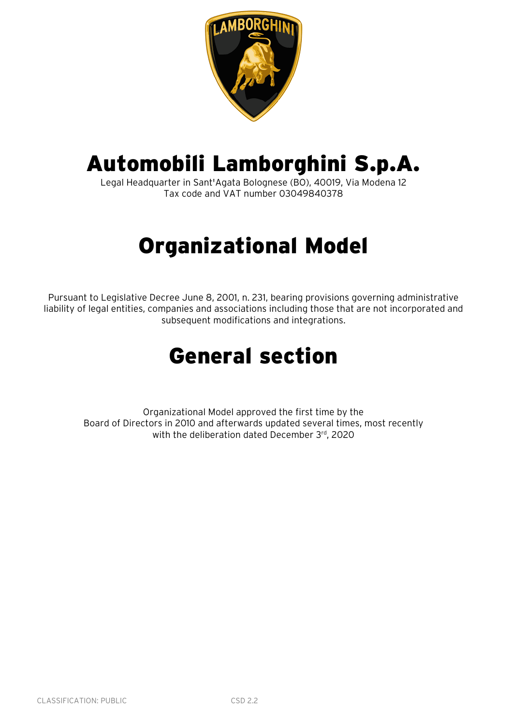

# Automobili Lamborghini S.p.A.

Legal Headquarter in Sant'Agata Bolognese (BO), 40019, Via Modena 12 Tax code and VAT number 03049840378

# Organizational Model

Pursuant to Legislative Decree June 8, 2001, n. 231, bearing provisions governing administrative liability of legal entities, companies and associations including those that are not incorporated and subsequent modifications and integrations.

# General section

Organizational Model approved the first time by the Board of Directors in 2010 and afterwards updated several times, most recently with the deliberation dated December 3rd, 2020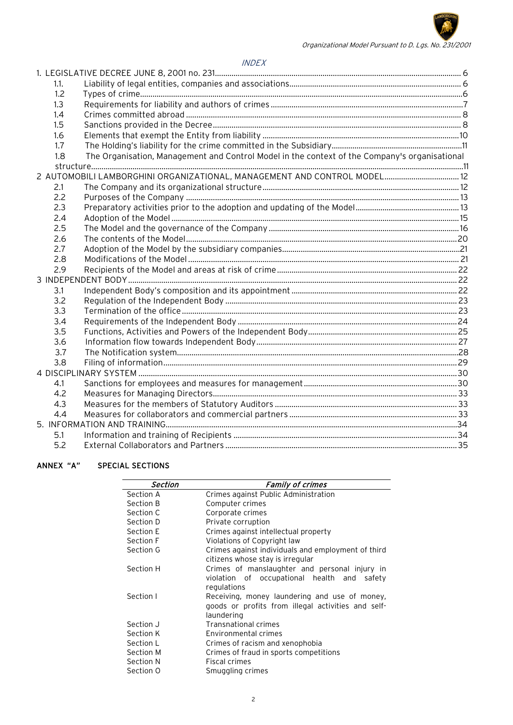

#### INDEX

| 1.1. |                                                                                               |  |
|------|-----------------------------------------------------------------------------------------------|--|
| 1.2  |                                                                                               |  |
| 1.3  |                                                                                               |  |
| 1.4  |                                                                                               |  |
| 1.5  |                                                                                               |  |
| 1.6  |                                                                                               |  |
| 1.7  |                                                                                               |  |
| 1.8  | The Organisation, Management and Control Model in the context of the Company's organisational |  |
|      |                                                                                               |  |
|      | 2 AUTOMOBILI LAMBORGHINI ORGANIZATIONAL, MANAGEMENT AND CONTROL MODEL 12                      |  |
| 2.1  |                                                                                               |  |
| 2.2  |                                                                                               |  |
| 2.3  |                                                                                               |  |
| 2.4  |                                                                                               |  |
| 2.5  |                                                                                               |  |
| 2.6  |                                                                                               |  |
| 2.7  |                                                                                               |  |
| 2.8  |                                                                                               |  |
| 2.9  |                                                                                               |  |
|      |                                                                                               |  |
| 3.1  |                                                                                               |  |
| 3.2  |                                                                                               |  |
| 3.3  |                                                                                               |  |
| 3.4  |                                                                                               |  |
| 3.5  |                                                                                               |  |
| 3.6  |                                                                                               |  |
| 3.7  |                                                                                               |  |
| 3.8  |                                                                                               |  |
|      |                                                                                               |  |
| 4.1  |                                                                                               |  |
| 4.2  |                                                                                               |  |
| 4.3  |                                                                                               |  |
| 4.4  |                                                                                               |  |
|      |                                                                                               |  |
| 5.1  |                                                                                               |  |
| 5.2  |                                                                                               |  |

#### ANNEX "A" SPECIAL SECTIONS

| <b>Section</b> | <b>Family of crimes</b>                            |
|----------------|----------------------------------------------------|
| Section A      | Crimes against Public Administration               |
| Section B      | Computer crimes                                    |
| Section C      | Corporate crimes                                   |
| Section D      | Private corruption                                 |
| Section E      | Crimes against intellectual property               |
| Section F      | Violations of Copyright law                        |
| Section G      | Crimes against individuals and employment of third |
|                | citizens whose stay is irregular                   |
| Section H      | Crimes of manslaughter and personal injury in      |
|                | violation of occupational health and<br>safety     |
|                | regulations                                        |
| Section I      | Receiving, money laundering and use of money,      |
|                | goods or profits from illegal activities and self- |
|                | laundering                                         |
| Section J      | <b>Transnational crimes</b>                        |
| Section K      | Environmental crimes                               |
| Section L      | Crimes of racism and xenophobia                    |
| Section M      | Crimes of fraud in sports competitions             |
| Section N      | Fiscal crimes                                      |
| Section O      | Smuggling crimes                                   |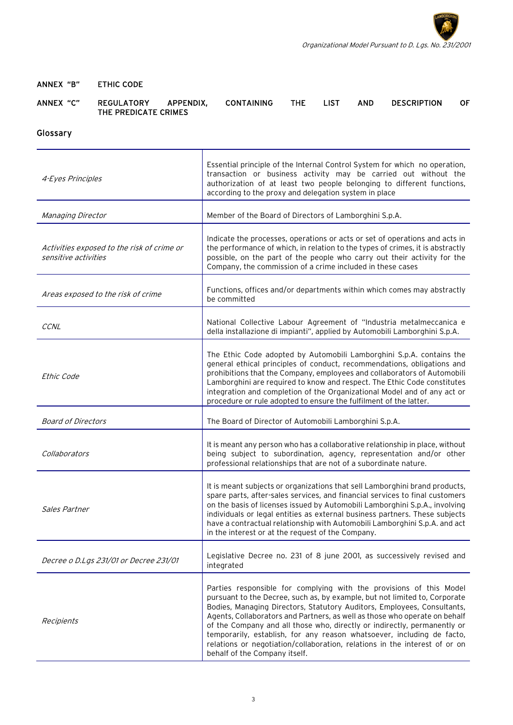

#### ANNEX "B" ETHIC CODE

| ANNEX "C" | <b>REGULATORY</b>    | APPENDIX. | <b>CONTAINING</b> | THE | <b>LIST</b> | AND | DESCRIPTION | OF. |
|-----------|----------------------|-----------|-------------------|-----|-------------|-----|-------------|-----|
|           | THE PREDICATE CRIMES |           |                   |     |             |     |             |     |

# Glossary

| 4-Eyes Principles                                                  | Essential principle of the Internal Control System for which no operation,<br>transaction or business activity may be carried out without the<br>authorization of at least two people belonging to different functions,<br>according to the proxy and delegation system in place                                                                                                                                                                             |
|--------------------------------------------------------------------|--------------------------------------------------------------------------------------------------------------------------------------------------------------------------------------------------------------------------------------------------------------------------------------------------------------------------------------------------------------------------------------------------------------------------------------------------------------|
| Managing Director                                                  | Member of the Board of Directors of Lamborghini S.p.A.                                                                                                                                                                                                                                                                                                                                                                                                       |
| Activities exposed to the risk of crime or<br>sensitive activities | Indicate the processes, operations or acts or set of operations and acts in<br>the performance of which, in relation to the types of crimes, it is abstractly<br>possible, on the part of the people who carry out their activity for the<br>Company, the commission of a crime included in these cases                                                                                                                                                      |
| Areas exposed to the risk of crime                                 | Functions, offices and/or departments within which comes may abstractly<br>be committed                                                                                                                                                                                                                                                                                                                                                                      |
| CCNL                                                               | National Collective Labour Agreement of "Industria metalmeccanica e<br>della installazione di impianti", applied by Automobili Lamborghini S.p.A.                                                                                                                                                                                                                                                                                                            |
| Ethic Code                                                         | The Ethic Code adopted by Automobili Lamborghini S.p.A. contains the<br>general ethical principles of conduct, recommendations, obligations and<br>prohibitions that the Company, employees and collaborators of Automobili<br>Lamborghini are required to know and respect. The Ethic Code constitutes<br>integration and completion of the Organizational Model and of any act or<br>procedure or rule adopted to ensure the fulfilment of the latter.     |
| <b>Board of Directors</b>                                          | The Board of Director of Automobili Lamborghini S.p.A.                                                                                                                                                                                                                                                                                                                                                                                                       |
|                                                                    |                                                                                                                                                                                                                                                                                                                                                                                                                                                              |
| Collaborators                                                      | It is meant any person who has a collaborative relationship in place, without<br>being subject to subordination, agency, representation and/or other<br>professional relationships that are not of a subordinate nature.                                                                                                                                                                                                                                     |
| Sales Partner                                                      | It is meant subjects or organizations that sell Lamborghini brand products,<br>spare parts, after-sales services, and financial services to final customers<br>on the basis of licenses issued by Automobili Lamborghini S.p.A., involving<br>individuals or legal entities as external business partners. These subjects<br>have a contractual relationship with Automobili Lamborghini S.p.A. and act<br>in the interest or at the request of the Company. |
| Decree o D.Lgs 231/01 or Decree 231/01                             | Legislative Decree no. 231 of 8 june 2001, as successively revised and<br>integrated                                                                                                                                                                                                                                                                                                                                                                         |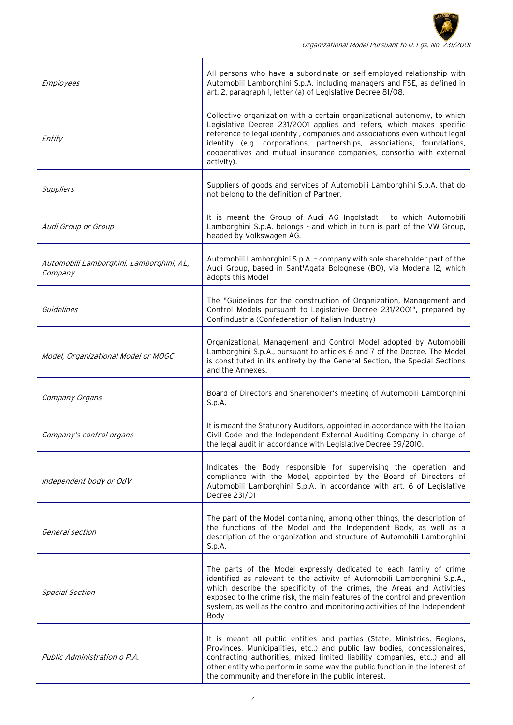| Employees                                           | All persons who have a subordinate or self-employed relationship with<br>Automobili Lamborghini S.p.A. including managers and FSE, as defined in<br>art. 2, paragraph 1, letter (a) of Legislative Decree 81/08.                                                                                                                                                                              |
|-----------------------------------------------------|-----------------------------------------------------------------------------------------------------------------------------------------------------------------------------------------------------------------------------------------------------------------------------------------------------------------------------------------------------------------------------------------------|
| Entity                                              | Collective organization with a certain organizational autonomy, to which<br>Legislative Decree 231/2001 applies and refers, which makes specific<br>reference to legal identity, companies and associations even without legal<br>identity (e.g. corporations, partnerships, associations, foundations,<br>cooperatives and mutual insurance companies, consortia with external<br>activity). |
| Suppliers                                           | Suppliers of goods and services of Automobili Lamborghini S.p.A. that do<br>not belong to the definition of Partner.                                                                                                                                                                                                                                                                          |
| Audi Group or Group                                 | It is meant the Group of Audi AG Ingolstadt - to which Automobili<br>Lamborghini S.p.A. belongs - and which in turn is part of the VW Group,<br>headed by Volkswagen AG.                                                                                                                                                                                                                      |
| Automobili Lamborghini, Lamborghini, AL,<br>Company | Automobili Lamborghini S.p.A. - company with sole shareholder part of the<br>Audi Group, based in Sant'Agata Bolognese (BO), via Modena 12, which<br>adopts this Model                                                                                                                                                                                                                        |
| Guidelines                                          | The "Guidelines for the construction of Organization, Management and<br>Control Models pursuant to Legislative Decree 231/2001", prepared by<br>Confindustria (Confederation of Italian Industry)                                                                                                                                                                                             |
| Model, Organizational Model or MOGC                 | Organizational, Management and Control Model adopted by Automobili<br>Lamborghini S.p.A., pursuant to articles 6 and 7 of the Decree. The Model<br>is constituted in its entirety by the General Section, the Special Sections<br>and the Annexes.                                                                                                                                            |
| Company Organs                                      | Board of Directors and Shareholder's meeting of Automobili Lamborghini<br>S.p.A.                                                                                                                                                                                                                                                                                                              |
| Company's control organs                            | It is meant the Statutory Auditors, appointed in accordance with the Italian<br>Civil Code and the Independent External Auditing Company in charge of<br>the legal audit in accordance with Legislative Decree 39/2010.                                                                                                                                                                       |
| Independent body or OdV                             | Indicates the Body responsible for supervising the operation and<br>compliance with the Model, appointed by the Board of Directors of<br>Automobili Lamborghini S.p.A. in accordance with art. 6 of Legislative<br>Decree 231/01                                                                                                                                                              |
| General section                                     | The part of the Model containing, among other things, the description of<br>the functions of the Model and the Independent Body, as well as a<br>description of the organization and structure of Automobili Lamborghini<br>S.p.A.                                                                                                                                                            |
| <b>Special Section</b>                              | The parts of the Model expressly dedicated to each family of crime<br>identified as relevant to the activity of Automobili Lamborghini S.p.A.,<br>which describe the specificity of the crimes, the Areas and Activities<br>exposed to the crime risk, the main features of the control and prevention<br>system, as well as the control and monitoring activities of the Independent<br>Body |
| Public Administration o P.A.                        | It is meant all public entities and parties (State, Ministries, Regions,<br>Provinces, Municipalities, etc) and public law bodies, concessionaires,<br>contracting authorities, mixed limited liability companies, etc) and all<br>other entity who perform in some way the public function in the interest of<br>the community and therefore in the public interest.                         |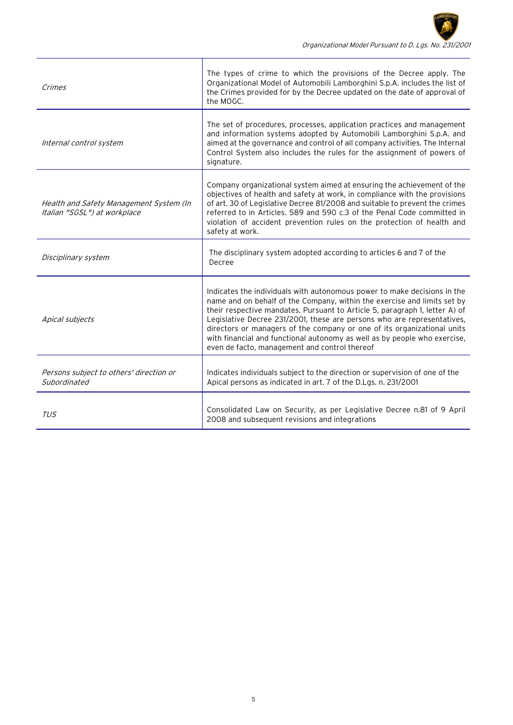| Crimes                                                                  | The types of crime to which the provisions of the Decree apply. The<br>Organizational Model of Automobili Lamborghini S.p.A. includes the list of<br>the Crimes provided for by the Decree updated on the date of approval of<br>the MOGC.                                                                                                                                                                                                                                                                              |
|-------------------------------------------------------------------------|-------------------------------------------------------------------------------------------------------------------------------------------------------------------------------------------------------------------------------------------------------------------------------------------------------------------------------------------------------------------------------------------------------------------------------------------------------------------------------------------------------------------------|
| Internal control system                                                 | The set of procedures, processes, application practices and management<br>and information systems adopted by Automobili Lamborghini S.p.A. and<br>aimed at the governance and control of all company activities. The Internal<br>Control System also includes the rules for the assignment of powers of<br>signature.                                                                                                                                                                                                   |
| Health and Safety Management System (In<br>Italian "SGSL") at workplace | Company organizational system aimed at ensuring the achievement of the<br>objectives of health and safety at work, in compliance with the provisions<br>of art. 30 of Legislative Decree 81/2008 and suitable to prevent the crimes<br>referred to in Articles. 589 and 590 c.3 of the Penal Code committed in<br>violation of accident prevention rules on the protection of health and<br>safety at work.                                                                                                             |
| Disciplinary system                                                     | The disciplinary system adopted according to articles 6 and 7 of the<br>Decree                                                                                                                                                                                                                                                                                                                                                                                                                                          |
| Apical subjects                                                         | Indicates the individuals with autonomous power to make decisions in the<br>name and on behalf of the Company, within the exercise and limits set by<br>their respective mandates. Pursuant to Article 5, paragraph 1, letter A) of<br>Legislative Decree 231/2001, these are persons who are representatives,<br>directors or managers of the company or one of its organizational units<br>with financial and functional autonomy as well as by people who exercise,<br>even de facto, management and control thereof |
| Persons subject to others' direction or<br>Subordinated                 | Indicates individuals subject to the direction or supervision of one of the<br>Apical persons as indicated in art. 7 of the D.Lgs. n. 231/2001                                                                                                                                                                                                                                                                                                                                                                          |
| <b>TUS</b>                                                              | Consolidated Law on Security, as per Legislative Decree n.81 of 9 April<br>2008 and subsequent revisions and integrations                                                                                                                                                                                                                                                                                                                                                                                               |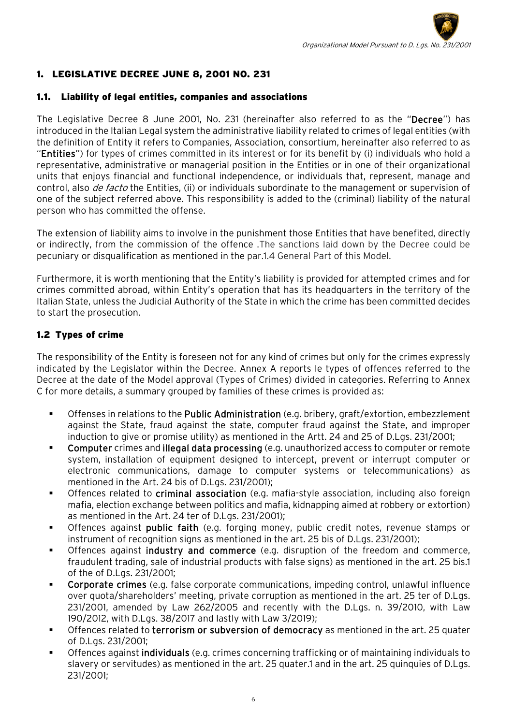# <span id="page-5-0"></span>1. LEGISLATIVE DECREE JUNE 8, 2001 NO. 231

#### <span id="page-5-1"></span>1.1. Liability of legal entities, companies and associations

The Legislative Decree 8 June 2001, No. 231 (hereinafter also referred to as the "Decree") has introduced in the Italian Legal system the administrative liability related to crimes of legal entities (with the definition of Entity it refers to Companies, Association, consortium, hereinafter also referred to as "Entities") for types of crimes committed in its interest or for its benefit by (i) individuals who hold a representative, administrative or managerial position in the Entities or in one of their organizational units that enjoys financial and functional independence, or individuals that, represent, manage and control, also *de facto* the Entities, (ii) or individuals subordinate to the management or supervision of one of the subject referred above. This responsibility is added to the (criminal) liability of the natural person who has committed the offense.

The extension of liability aims to involve in the punishment those Entities that have benefited, directly or indirectly, from the commission of the offence .The sanctions laid down by the Decree could be pecuniary or disqualification as mentioned in the par.1.4 General Part of this Model.

Furthermore, it is worth mentioning that the Entity's liability is provided for attempted crimes and for crimes committed abroad, within Entity's operation that has its headquarters in the territory of the Italian State, unless the Judicial Authority of the State in which the crime has been committed decides to start the prosecution.

## 1.2 Types of crime

The responsibility of the Entity is foreseen not for any kind of crimes but only for the crimes expressly indicated by the Legislator within the Decree. Annex A reports le types of offences referred to the Decree at the date of the Model approval (Types of Crimes) divided in categories. Referring to Annex C for more details, a summary grouped by families of these crimes is provided as:

- Offenses in relations to the Public Administration (e.g. bribery, graft/extortion, embezzlement against the State, fraud against the state, computer fraud against the State, and improper induction to give or promise utility) as mentioned in the Artt. 24 and 25 of D.Lgs. 231/2001;
- Computer crimes and illegal data processing (e.g. unauthorized access to computer or remote system, installation of equipment designed to intercept, prevent or interrupt computer or electronic communications, damage to computer systems or telecommunications) as mentioned in the Art. 24 bis of D.Lgs. 231/2001);
- **The State of the Constange in State 1** Offences relation of the criminal and the criminal of the ign also foreign mafia, election exchange between politics and mafia, kidnapping aimed at robbery or extortion) as mentioned in the Art. 24 ter of D.Lgs. 231/2001);
- Offences against public faith (e.g. forging money, public credit notes, revenue stamps or instrument of recognition signs as mentioned in the art. 25 bis of D.Lgs. 231/2001);
- **Offences against industry and commerce** (e.g. disruption of the freedom and commerce, fraudulent trading, sale of industrial products with false signs) as mentioned in the art. 25 bis.1 of the of D.Lgs. 231/2001;
- Corporate crimes (e.g. false corporate communications, impeding control, unlawful influence over quota/shareholders' meeting, private corruption as mentioned in the art. 25 ter of D.Lgs. 231/2001, amended by Law 262/2005 and recently with the D.Lgs. n. 39/2010, with Law 190/2012, with D.Lgs. 38/2017 and lastly with Law 3/2019);
- Offences related to terrorism or subversion of democracy as mentioned in the art. 25 quater of D.Lgs. 231/2001;
- Offences against individuals (e.g. crimes concerning trafficking or of maintaining individuals to slavery or servitudes) as mentioned in the art. 25 quater.1 and in the art. 25 quinquies of D.Lgs. 231/2001;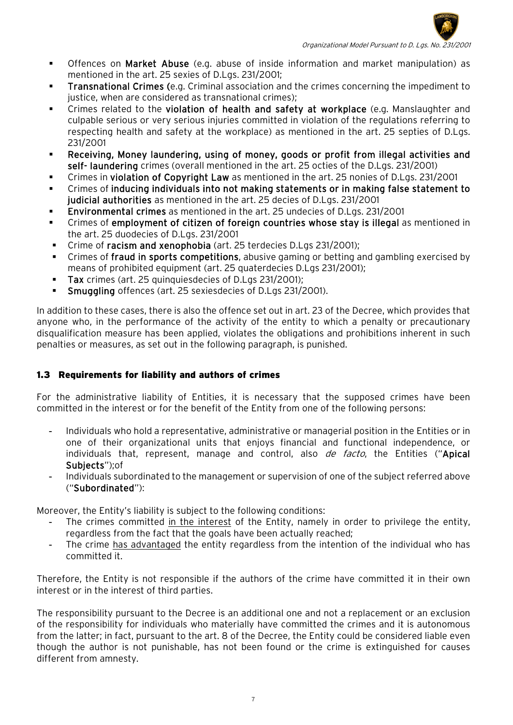

- **•** Offences on Market Abuse (e.g. abuse of inside information and market manipulation) as mentioned in the art. 25 sexies of D.Lgs. 231/2001;
- **Transnational Crimes (e.g. Criminal association and the crimes concerning the impediment to** justice, when are considered as transnational crimes);
- Crimes related to the violation of health and safety at workplace (e.g. Manslaughter and culpable serious or very serious injuries committed in violation of the regulations referring to respecting health and safety at the workplace) as mentioned in the art. 25 septies of D.Lgs. 231/2001
- Receiving, Money laundering, using of money, goods or profit from illegal activities and self- laundering crimes (overall mentioned in the art. 25 octies of the D.Lgs. 231/2001)
- Crimes in violation of Copyright Law as mentioned in the art. 25 nonies of D.Lgs. 231/2001
- Crimes of inducing individuals into not making statements or in making false statement to judicial authorities as mentioned in the art. 25 decies of D.Lgs. 231/2001
- Environmental crimes as mentioned in the art. 25 undecies of D.Lgs. 231/2001
- Crimes of employment of citizen of foreign countries whose stay is illegal as mentioned in the art. 25 duodecies of D.Lgs. 231/2001
- Crime of racism and xenophobia (art. 25 terdecies D.Lgs 231/2001);
- Crimes of fraud in sports competitions, abusive gaming or betting and gambling exercised by means of prohibited equipment (art. 25 quaterdecies D.Lgs 231/2001);
- Tax crimes (art. 25 quinquiesdecies of D.Lgs 231/2001);
- Smuggling offences (art. 25 sexiesdecies of D.Lgs 231/2001).

In addition to these cases, there is also the offence set out in art. 23 of the Decree, which provides that anyone who, in the performance of the activity of the entity to which a penalty or precautionary disqualification measure has been applied, violates the obligations and prohibitions inherent in such penalties or measures, as set out in the following paragraph, is punished.

# <span id="page-6-0"></span>1.3 Requirements for liability and authors of crimes

For the administrative liability of Entities, it is necessary that the supposed crimes have been committed in the interest or for the benefit of the Entity from one of the following persons:

- Individuals who hold a representative, administrative or managerial position in the Entities or in one of their organizational units that enjoys financial and functional independence, or individuals that, represent, manage and control, also de facto, the Entities ("Apical Subjects");of
- Individuals subordinated to the management or supervision of one of the subject referred above ("Subordinated"):

Moreover, the Entity's liability is subject to the following conditions:

- The crimes committed in the interest of the Entity, namely in order to privilege the entity, regardless from the fact that the goals have been actually reached;
- The crime has advantaged the entity regardless from the intention of the individual who has committed it.

Therefore, the Entity is not responsible if the authors of the crime have committed it in their own interest or in the interest of third parties.

The responsibility pursuant to the Decree is an additional one and not a replacement or an exclusion of the responsibility for individuals who materially have committed the crimes and it is autonomous from the latter; in fact, pursuant to the art. 8 of the Decree, the Entity could be considered liable even though the author is not punishable, has not been found or the crime is extinguished for causes different from amnesty.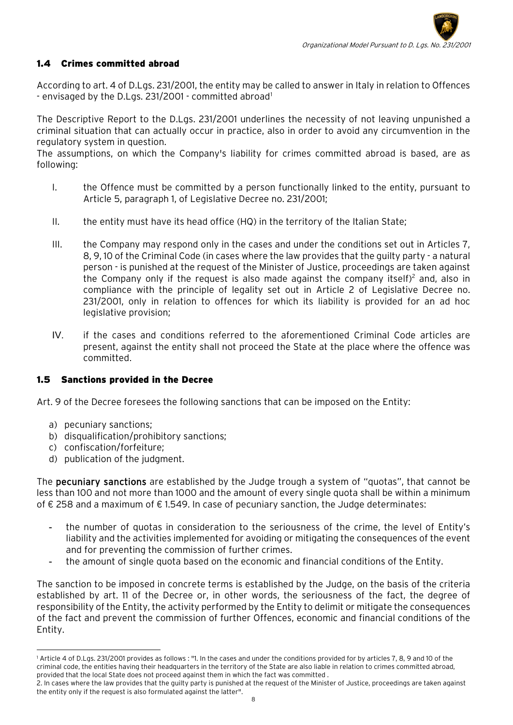## <span id="page-7-0"></span>1.4 Crimes committed abroad

According to art. 4 of D.Lgs. 231/2001, the entity may be called to answer in Italy in relation to Offences - envisaged by the D.Lgs. 23[1](#page-7-2)/2001 - committed abroad<sup>1</sup>

The Descriptive Report to the D.Lgs. 231/2001 underlines the necessity of not leaving unpunished a criminal situation that can actually occur in practice, also in order to avoid any circumvention in the regulatory system in question.

The assumptions, on which the Company's liability for crimes committed abroad is based, are as following:

- I. the Offence must be committed by a person functionally linked to the entity, pursuant to Article 5, paragraph 1, of Legislative Decree no. 231/2001;
- II. the entity must have its head office  $(HQ)$  in the territory of the Italian State;
- III. the Company may respond only in the cases and under the conditions set out in Articles 7, 8, 9, 10 of the Criminal Code (in cases where the law provides that the guilty party - a natural person - is punished at the request of the Minister of Justice, proceedings are taken against the Company only if the request is also made against the company itself)<sup>2</sup> and, also in compliance with the principle of legality set out in Article 2 of Legislative Decree no. 231/2001, only in relation to offences for which its liability is provided for an ad hoc legislative provision;
- IV. if the cases and conditions referred to the aforementioned Criminal Code articles are present, against the entity shall not proceed the State at the place where the offence was committed.

#### <span id="page-7-1"></span>1.5 Sanctions provided in the Decree

Art. 9 of the Decree foresees the following sanctions that can be imposed on the Entity:

- a) pecuniary sanctions;
- b) disqualification/prohibitory sanctions;
- c) confiscation/forfeiture;
- d) publication of the judgment.

The pecuniary sanctions are established by the Judge trough a system of "quotas", that cannot be less than 100 and not more than 1000 and the amount of every single quota shall be within a minimum of € 258 and a maximum of € 1.549. In case of pecuniary sanction, the Judge determinates:

- the number of quotas in consideration to the seriousness of the crime, the level of Entity's liability and the activities implemented for avoiding or mitigating the consequences of the event and for preventing the commission of further crimes.
- the amount of single quota based on the economic and financial conditions of the Entity.

The sanction to be imposed in concrete terms is established by the Judge, on the basis of the criteria established by art. 11 of the Decree or, in other words, the seriousness of the fact, the degree of responsibility of the Entity, the activity performed by the Entity to delimit or mitigate the consequences of the fact and prevent the commission of further Offences, economic and financial conditions of the Entity.

<span id="page-7-2"></span><sup>-</sup><sup>1</sup> Article 4 of D.Lgs. 231/2001 provides as follows : "1. In the cases and under the conditions provided for by articles 7, 8, 9 and 10 of the criminal code, the entities having their headquarters in the territory of the State are also liable in relation to crimes committed abroad, provided that the local State does not proceed against them in which the fact was committed .

<sup>2.</sup> In cases where the law provides that the guilty party is punished at the request of the Minister of Justice, proceedings are taken against the entity only if the request is also formulated against the latter".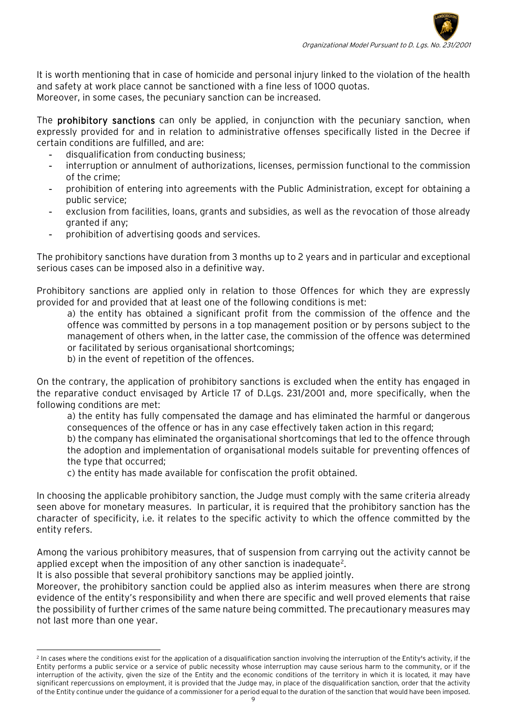It is worth mentioning that in case of homicide and personal injury linked to the violation of the health and safety at work place cannot be sanctioned with a fine less of 1000 quotas. Moreover, in some cases, the pecuniary sanction can be increased.

The **prohibitory sanctions** can only be applied, in conjunction with the pecuniary sanction, when expressly provided for and in relation to administrative offenses specifically listed in the Decree if certain conditions are fulfilled, and are:

- disqualification from conducting business;
- interruption or annulment of authorizations, licenses, permission functional to the commission of the crime;
- prohibition of entering into agreements with the Public Administration, except for obtaining a public service;
- exclusion from facilities, loans, grants and subsidies, as well as the revocation of those already granted if any;
- prohibition of advertising goods and services.

The prohibitory sanctions have duration from 3 months up to 2 years and in particular and exceptional serious cases can be imposed also in a definitive way.

Prohibitory sanctions are applied only in relation to those Offences for which they are expressly provided for and provided that at least one of the following conditions is met:

a) the entity has obtained a significant profit from the commission of the offence and the offence was committed by persons in a top management position or by persons subject to the management of others when, in the latter case, the commission of the offence was determined or facilitated by serious organisational shortcomings;

b) in the event of repetition of the offences.

On the contrary, the application of prohibitory sanctions is excluded when the entity has engaged in the reparative conduct envisaged by Article 17 of D.Lgs. 231/2001 and, more specifically, when the following conditions are met:

a) the entity has fully compensated the damage and has eliminated the harmful or dangerous consequences of the offence or has in any case effectively taken action in this regard;

b) the company has eliminated the organisational shortcomings that led to the offence through the adoption and implementation of organisational models suitable for preventing offences of the type that occurred;

c) the entity has made available for confiscation the profit obtained.

In choosing the applicable prohibitory sanction, the Judge must comply with the same criteria already seen above for monetary measures. In particular, it is required that the prohibitory sanction has the character of specificity, i.e. it relates to the specific activity to which the offence committed by the entity refers.

Among the various prohibitory measures, that of suspension from carrying out the activity cannot be applied except when the imposition of any other sanction is inadequate<sup>[2](#page-8-0)</sup>.

It is also possible that several prohibitory sanctions may be applied jointly.

-

Moreover, the prohibitory sanction could be applied also as interim measures when there are strong evidence of the entity's responsibility and when there are specific and well proved elements that raise the possibility of further crimes of the same nature being committed. The precautionary measures may not last more than one year.

<span id="page-8-0"></span> $^2$  In cases where the conditions exist for the application of a disqualification sanction involving the interruption of the Entity's activity, if the Entity performs a public service or a service of public necessity whose interruption may cause serious harm to the community, or if the interruption of the activity, given the size of the Entity and the economic conditions of the territory in which it is located, it may have significant repercussions on employment, it is provided that the Judge may, in place of the disqualification sanction, order that the activity of the Entity continue under the guidance of a commissioner for a period equal to the duration of the sanction that would have been imposed.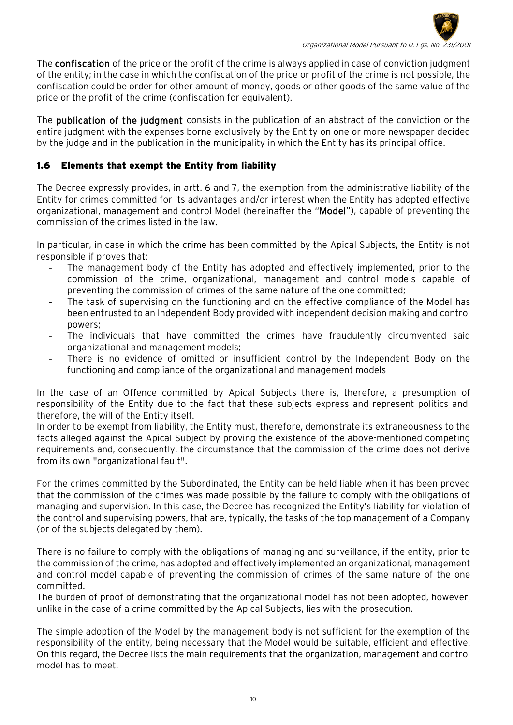

The confiscation of the price or the profit of the crime is always applied in case of conviction judgment of the entity; in the case in which the confiscation of the price or profit of the crime is not possible, the confiscation could be order for other amount of money, goods or other goods of the same value of the price or the profit of the crime (confiscation for equivalent).

The publication of the judgment consists in the publication of an abstract of the conviction or the entire judgment with the expenses borne exclusively by the Entity on one or more newspaper decided by the judge and in the publication in the municipality in which the Entity has its principal office.

## <span id="page-9-0"></span>1.6 Elements that exempt the Entity from liability

The Decree expressly provides, in artt. 6 and 7, the exemption from the administrative liability of the Entity for crimes committed for its advantages and/or interest when the Entity has adopted effective organizational, management and control Model (hereinafter the "Model"), capable of preventing the commission of the crimes listed in the law.

In particular, in case in which the crime has been committed by the Apical Subjects, the Entity is not responsible if proves that:

- The management body of the Entity has adopted and effectively implemented, prior to the commission of the crime, organizational, management and control models capable of preventing the commission of crimes of the same nature of the one committed;
- The task of supervising on the functioning and on the effective compliance of the Model has been entrusted to an Independent Body provided with independent decision making and control powers;
- The individuals that have committed the crimes have fraudulently circumvented said organizational and management models;
- There is no evidence of omitted or insufficient control by the Independent Body on the functioning and compliance of the organizational and management models

In the case of an Offence committed by Apical Subjects there is, therefore, a presumption of responsibility of the Entity due to the fact that these subjects express and represent politics and, therefore, the will of the Entity itself.

In order to be exempt from liability, the Entity must, therefore, demonstrate its extraneousness to the facts alleged against the Apical Subject by proving the existence of the above-mentioned competing requirements and, consequently, the circumstance that the commission of the crime does not derive from its own "organizational fault".

For the crimes committed by the Subordinated, the Entity can be held liable when it has been proved that the commission of the crimes was made possible by the failure to comply with the obligations of managing and supervision. In this case, the Decree has recognized the Entity's liability for violation of the control and supervising powers, that are, typically, the tasks of the top management of a Company (or of the subjects delegated by them).

There is no failure to comply with the obligations of managing and surveillance, if the entity, prior to the commission of the crime, has adopted and effectively implemented an organizational, management and control model capable of preventing the commission of crimes of the same nature of the one committed.

The burden of proof of demonstrating that the organizational model has not been adopted, however, unlike in the case of a crime committed by the Apical Subjects, lies with the prosecution.

The simple adoption of the Model by the management body is not sufficient for the exemption of the responsibility of the entity, being necessary that the Model would be suitable, efficient and effective. On this regard, the Decree lists the main requirements that the organization, management and control model has to meet.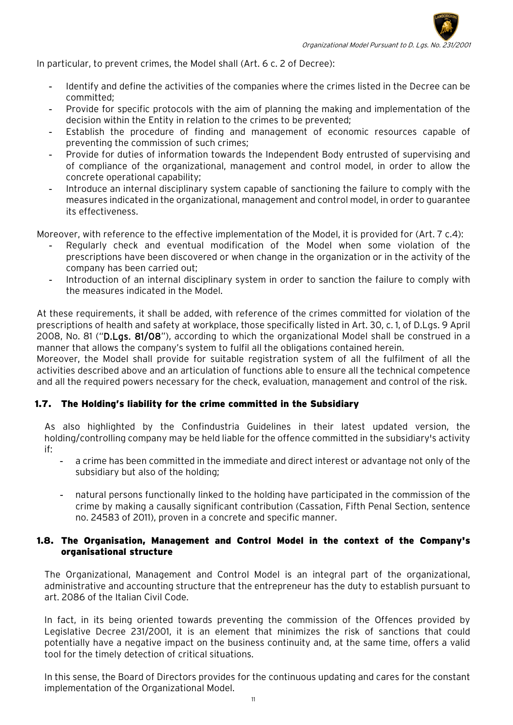

In particular, to prevent crimes, the Model shall (Art. 6 c. 2 of Decree):

- Identify and define the activities of the companies where the crimes listed in the Decree can be committed;
- Provide for specific protocols with the aim of planning the making and implementation of the decision within the Entity in relation to the crimes to be prevented;
- Establish the procedure of finding and management of economic resources capable of preventing the commission of such crimes;
- Provide for duties of information towards the Independent Body entrusted of supervising and of compliance of the organizational, management and control model, in order to allow the concrete operational capability;
- Introduce an internal disciplinary system capable of sanctioning the failure to comply with the measures indicated in the organizational, management and control model, in order to guarantee its effectiveness.

Moreover, with reference to the effective implementation of the Model, it is provided for (Art. 7 c.4):

- Regularly check and eventual modification of the Model when some violation of the prescriptions have been discovered or when change in the organization or in the activity of the company has been carried out;
- Introduction of an internal disciplinary system in order to sanction the failure to comply with the measures indicated in the Model.

At these requirements, it shall be added, with reference of the crimes committed for violation of the prescriptions of health and safety at workplace, those specifically listed in Art. 30, c. 1, of D.Lgs. 9 April 2008, No. 81 ("D.Lgs. 81/08"), according to which the organizational Model shall be construed in a manner that allows the company's system to fulfil all the obligations contained herein.

Moreover, the Model shall provide for suitable registration system of all the fulfilment of all the activities described above and an articulation of functions able to ensure all the technical competence and all the required powers necessary for the check, evaluation, management and control of the risk.

#### 1.7. The Holding's liability for the crime committed in the Subsidiary

As also highlighted by the Confindustria Guidelines in their latest updated version, the holding/controlling company may be held liable for the offence committed in the subsidiary's activity if:

- a crime has been committed in the immediate and direct interest or advantage not only of the subsidiary but also of the holding;
- natural persons functionally linked to the holding have participated in the commission of the crime by making a causally significant contribution (Cassation, Fifth Penal Section, sentence no. 24583 of 2011), proven in a concrete and specific manner.

#### 1.8. The Organisation, Management and Control Model in the context of the Company's organisational structure

The Organizational, Management and Control Model is an integral part of the organizational, administrative and accounting structure that the entrepreneur has the duty to establish pursuant to art. 2086 of the Italian Civil Code.

In fact, in its being oriented towards preventing the commission of the Offences provided by Legislative Decree 231/2001, it is an element that minimizes the risk of sanctions that could potentially have a negative impact on the business continuity and, at the same time, offers a valid tool for the timely detection of critical situations.

In this sense, the Board of Directors provides for the continuous updating and cares for the constant implementation of the Organizational Model.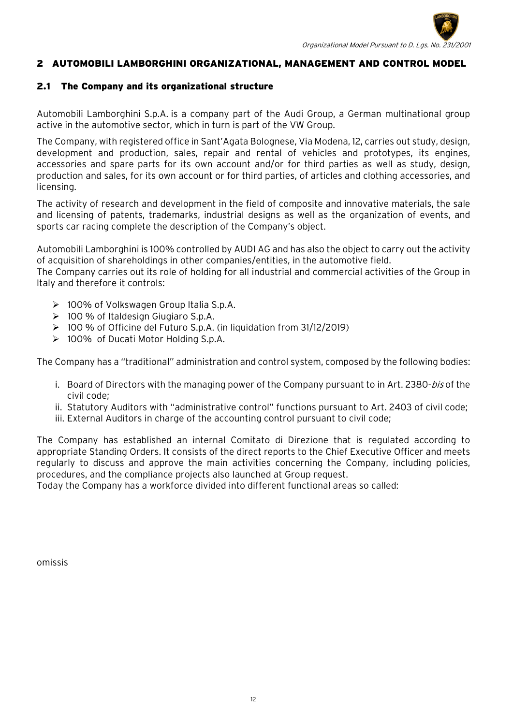

## <span id="page-11-0"></span>2 AUTOMOBILI LAMBORGHINI ORGANIZATIONAL, MANAGEMENT AND CONTROL MODEL

#### <span id="page-11-1"></span>2.1 The Company and its organizational structure

Automobili Lamborghini S.p.A. is a company part of the Audi Group, a German multinational group active in the automotive sector, which in turn is part of the VW Group.

The Company, with registered office in Sant'Agata Bolognese, Via Modena, 12, carries out study, design, development and production, sales, repair and rental of vehicles and prototypes, its engines, accessories and spare parts for its own account and/or for third parties as well as study, design, production and sales, for its own account or for third parties, of articles and clothing accessories, and licensing.

The activity of research and development in the field of composite and innovative materials, the sale and licensing of patents, trademarks, industrial designs as well as the organization of events, and sports car racing complete the description of the Company's object.

Automobili Lamborghini is 100% controlled by AUDI AG and has also the object to carry out the activity of acquisition of shareholdings in other companies/entities, in the automotive field.

The Company carries out its role of holding for all industrial and commercial activities of the Group in Italy and therefore it controls:

- 100% of Volkswagen Group Italia S.p.A.
- 100 % of Italdesign Giugiaro S.p.A.
- 100 % of Officine del Futuro S.p.A. (in liquidation from 31/12/2019)
- ▶ 100% of Ducati Motor Holding S.p.A.

The Company has a "traditional" administration and control system, composed by the following bodies:

- i. Board of Directors with the managing power of the Company pursuant to in Art. 2380-bis of the civil code;
- ii. Statutory Auditors with "administrative control" functions pursuant to Art. 2403 of civil code;
- iii. External Auditors in charge of the accounting control pursuant to civil code;

The Company has established an internal Comitato di Direzione that is regulated according to appropriate Standing Orders. It consists of the direct reports to the Chief Executive Officer and meets regularly to discuss and approve the main activities concerning the Company, including policies, procedures, and the compliance projects also launched at Group request.

Today the Company has a workforce divided into different functional areas so called:

omissis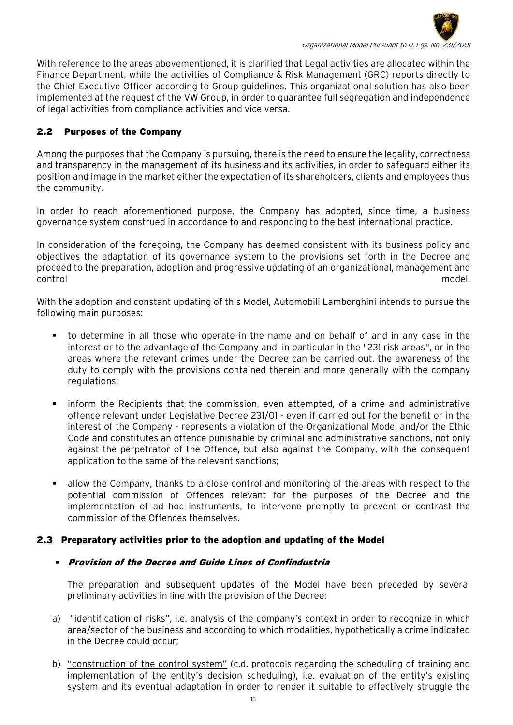

With reference to the areas abovementioned, it is clarified that Legal activities are allocated within the Finance Department, while the activities of Compliance & Risk Management (GRC) reports directly to the Chief Executive Officer according to Group guidelines. This organizational solution has also been implemented at the request of the VW Group, in order to guarantee full segregation and independence of legal activities from compliance activities and vice versa.

# <span id="page-12-0"></span>2.2 Purposes of the Company

Among the purposes that the Company is pursuing, there is the need to ensure the legality, correctness and transparency in the management of its business and its activities, in order to safeguard either its position and image in the market either the expectation of its shareholders, clients and employees thus the community.

In order to reach aforementioned purpose, the Company has adopted, since time, a business governance system construed in accordance to and responding to the best international practice.

In consideration of the foregoing, the Company has deemed consistent with its business policy and objectives the adaptation of its governance system to the provisions set forth in the Decree and proceed to the preparation, adoption and progressive updating of an organizational, management and control model.

With the adoption and constant updating of this Model, Automobili Lamborghini intends to pursue the following main purposes:

- to determine in all those who operate in the name and on behalf of and in any case in the interest or to the advantage of the Company and, in particular in the "231 risk areas", or in the areas where the relevant crimes under the Decree can be carried out, the awareness of the duty to comply with the provisions contained therein and more generally with the company regulations;
- inform the Recipients that the commission, even attempted, of a crime and administrative offence relevant under Legislative Decree 231/01 - even if carried out for the benefit or in the interest of the Company - represents a violation of the Organizational Model and/or the Ethic Code and constitutes an offence punishable by criminal and administrative sanctions, not only against the perpetrator of the Offence, but also against the Company, with the consequent application to the same of the relevant sanctions;
- allow the Company, thanks to a close control and monitoring of the areas with respect to the potential commission of Offences relevant for the purposes of the Decree and the implementation of ad hoc instruments, to intervene promptly to prevent or contrast the commission of the Offences themselves.

#### <span id="page-12-1"></span>2.3 Preparatory activities prior to the adoption and updating of the Model

#### Provision of the Decree and Guide Lines of Confindustria

The preparation and subsequent updates of the Model have been preceded by several preliminary activities in line with the provision of the Decree:

- a) "identification of risks", i.e. analysis of the company's context in order to recognize in which area/sector of the business and according to which modalities, hypothetically a crime indicated in the Decree could occur;
- b) "construction of the control system" (c.d. protocols regarding the scheduling of training and implementation of the entity's decision scheduling), i.e. evaluation of the entity's existing system and its eventual adaptation in order to render it suitable to effectively struggle the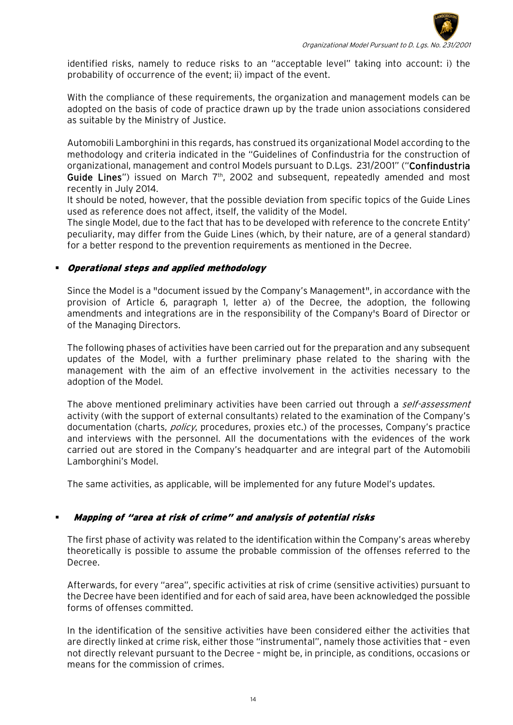

identified risks, namely to reduce risks to an "acceptable level" taking into account: i) the probability of occurrence of the event; ii) impact of the event.

With the compliance of these requirements, the organization and management models can be adopted on the basis of code of practice drawn up by the trade union associations considered as suitable by the Ministry of Justice.

Automobili Lamborghini in this regards, has construed its organizational Model according to the methodology and criteria indicated in the "Guidelines of Confindustria for the construction of organizational, management and control Models pursuant to D.Lgs. 231/2001" ("Confindustria Guide Lines") issued on March  $7<sup>th</sup>$ , 2002 and subsequent, repeatedly amended and most recently in July 2014.

It should be noted, however, that the possible deviation from specific topics of the Guide Lines used as reference does not affect, itself, the validity of the Model.

The single Model, due to the fact that has to be developed with reference to the concrete Entity' peculiarity, may differ from the Guide Lines (which, by their nature, are of a general standard) for a better respond to the prevention requirements as mentioned in the Decree.

#### Operational steps and applied methodology

Since the Model is a "document issued by the Company's Management", in accordance with the provision of Article 6, paragraph 1, letter a) of the Decree, the adoption, the following amendments and integrations are in the responsibility of the Company's Board of Director or of the Managing Directors.

The following phases of activities have been carried out for the preparation and any subsequent updates of the Model, with a further preliminary phase related to the sharing with the management with the aim of an effective involvement in the activities necessary to the adoption of the Model.

The above mentioned preliminary activities have been carried out through a self-assessment activity (with the support of external consultants) related to the examination of the Company's documentation (charts, *policy*, procedures, proxies etc.) of the processes, Company's practice and interviews with the personnel. All the documentations with the evidences of the work carried out are stored in the Company's headquarter and are integral part of the Automobili Lamborghini's Model.

The same activities, as applicable, will be implemented for any future Model's updates.

#### Mapping of "area at risk of crime" and analysis of potential risks

The first phase of activity was related to the identification within the Company's areas whereby theoretically is possible to assume the probable commission of the offenses referred to the Decree.

Afterwards, for every "area", specific activities at risk of crime (sensitive activities) pursuant to the Decree have been identified and for each of said area, have been acknowledged the possible forms of offenses committed.

In the identification of the sensitive activities have been considered either the activities that are directly linked at crime risk, either those "instrumental", namely those activities that – even not directly relevant pursuant to the Decree – might be, in principle, as conditions, occasions or means for the commission of crimes.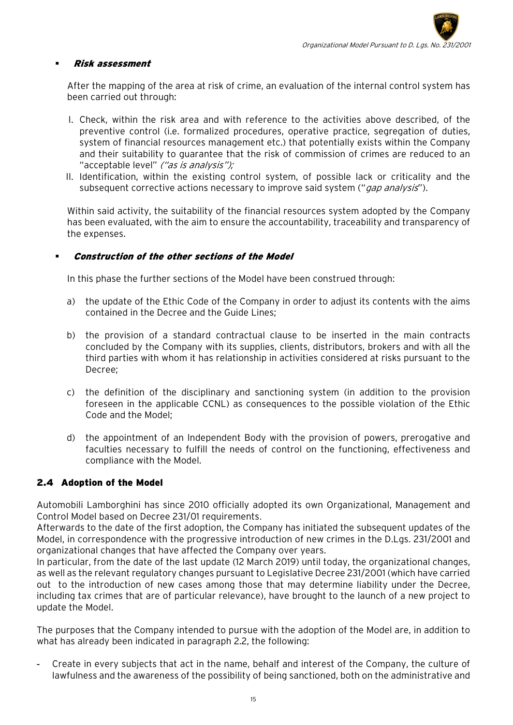#### Risk assessment

After the mapping of the area at risk of crime, an evaluation of the internal control system has been carried out through:

- I. Check, within the risk area and with reference to the activities above described, of the preventive control (i.e. formalized procedures, operative practice, segregation of duties, system of financial resources management etc.) that potentially exists within the Company and their suitability to guarantee that the risk of commission of crimes are reduced to an "acceptable level" ("as is analysis");
- II. Identification, within the existing control system, of possible lack or criticality and the subsequent corrective actions necessary to improve said system ("*gap analysis*").

Within said activity, the suitability of the financial resources system adopted by the Company has been evaluated, with the aim to ensure the accountability, traceability and transparency of the expenses.

#### Construction of the other sections of the Model

In this phase the further sections of the Model have been construed through:

- a) the update of the Ethic Code of the Company in order to adjust its contents with the aims contained in the Decree and the Guide Lines;
- b) the provision of a standard contractual clause to be inserted in the main contracts concluded by the Company with its supplies, clients, distributors, brokers and with all the third parties with whom it has relationship in activities considered at risks pursuant to the Decree;
- c) the definition of the disciplinary and sanctioning system (in addition to the provision foreseen in the applicable CCNL) as consequences to the possible violation of the Ethic Code and the Model;
- d) the appointment of an Independent Body with the provision of powers, prerogative and faculties necessary to fulfill the needs of control on the functioning, effectiveness and compliance with the Model.

# <span id="page-14-0"></span>2.4 Adoption of the Model

Automobili Lamborghini has since 2010 officially adopted its own Organizational, Management and Control Model based on Decree 231/01 requirements.

Afterwards to the date of the first adoption, the Company has initiated the subsequent updates of the Model, in correspondence with the progressive introduction of new crimes in the D.Lgs. 231/2001 and organizational changes that have affected the Company over years.

In particular, from the date of the last update (12 March 2019) until today, the organizational changes, as well as the relevant regulatory changes pursuant to Legislative Decree 231/2001 (which have carried out to the introduction of new cases among those that may determine liability under the Decree, including tax crimes that are of particular relevance), have brought to the launch of a new project to update the Model.

The purposes that the Company intended to pursue with the adoption of the Model are, in addition to what has already been indicated in paragraph 2.2, the following:

- Create in every subjects that act in the name, behalf and interest of the Company, the culture of lawfulness and the awareness of the possibility of being sanctioned, both on the administrative and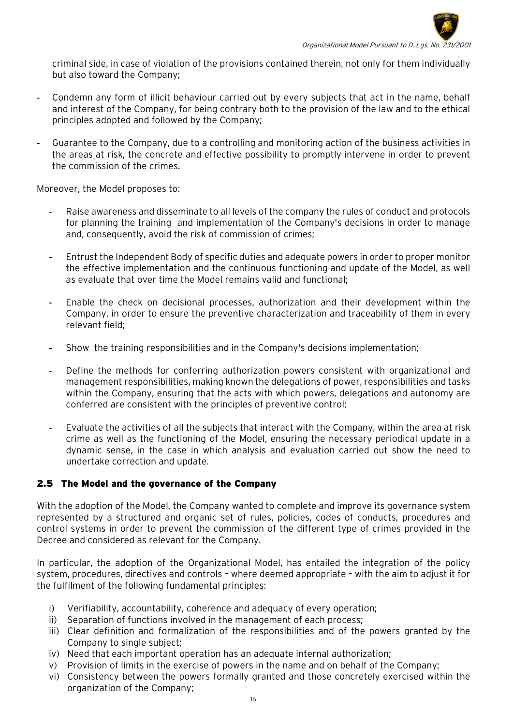

criminal side, in case of violation of the provisions contained therein, not only for them individually but also toward the Company;

- Condemn any form of illicit behaviour carried out by every subjects that act in the name, behalf and interest of the Company, for being contrary both to the provision of the law and to the ethical principles adopted and followed by the Company;
- Guarantee to the Company, due to a controlling and monitoring action of the business activities in the areas at risk, the concrete and effective possibility to promptly intervene in order to prevent the commission of the crimes.

Moreover, the Model proposes to:

- Raise awareness and disseminate to all levels of the company the rules of conduct and protocols for planning the training and implementation of the Company's decisions in order to manage and, consequently, avoid the risk of commission of crimes;
- Entrust the Independent Body of specific duties and adequate powers in order to proper monitor the effective implementation and the continuous functioning and update of the Model, as well as evaluate that over time the Model remains valid and functional;
- Enable the check on decisional processes, authorization and their development within the Company, in order to ensure the preventive characterization and traceability of them in every relevant field;
- Show the training responsibilities and in the Company's decisions implementation;
- Define the methods for conferring authorization powers consistent with organizational and management responsibilities, making known the delegations of power, responsibilities and tasks within the Company, ensuring that the acts with which powers, delegations and autonomy are conferred are consistent with the principles of preventive control;
- Evaluate the activities of all the subjects that interact with the Company, within the area at risk crime as well as the functioning of the Model, ensuring the necessary periodical update in a dynamic sense, in the case in which analysis and evaluation carried out show the need to undertake correction and update.

# <span id="page-15-0"></span>2.5 The Model and the governance of the Company

With the adoption of the Model, the Company wanted to complete and improve its governance system represented by a structured and organic set of rules, policies, codes of conducts, procedures and control systems in order to prevent the commission of the different type of crimes provided in the Decree and considered as relevant for the Company.

In particular, the adoption of the Organizational Model, has entailed the integration of the policy system, procedures, directives and controls – where deemed appropriate – with the aim to adjust it for the fulfilment of the following fundamental principles:

- i) Verifiability, accountability, coherence and adequacy of every operation;
- ii) Separation of functions involved in the management of each process;
- iii) Clear definition and formalization of the responsibilities and of the powers granted by the Company to single subject;
- iv) Need that each important operation has an adequate internal authorization;
- v) Provision of limits in the exercise of powers in the name and on behalf of the Company;
- vi) Consistency between the powers formally granted and those concretely exercised within the organization of the Company;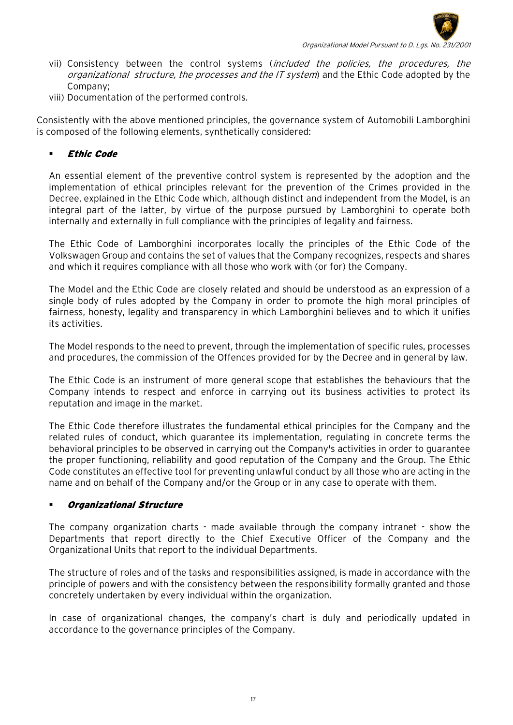

- vii) Consistency between the control systems (included the policies, the procedures, the organizational structure, the processes and the IT system) and the Ethic Code adopted by the Company;
- viii) Documentation of the performed controls.

Consistently with the above mentioned principles, the governance system of Automobili Lamborghini is composed of the following elements, synthetically considered:

## Ethic Code

An essential element of the preventive control system is represented by the adoption and the implementation of ethical principles relevant for the prevention of the Crimes provided in the Decree, explained in the Ethic Code which, although distinct and independent from the Model, is an integral part of the latter, by virtue of the purpose pursued by Lamborghini to operate both internally and externally in full compliance with the principles of legality and fairness.

The Ethic Code of Lamborghini incorporates locally the principles of the Ethic Code of the Volkswagen Group and contains the set of values that the Company recognizes, respects and shares and which it requires compliance with all those who work with (or for) the Company.

The Model and the Ethic Code are closely related and should be understood as an expression of a single body of rules adopted by the Company in order to promote the high moral principles of fairness, honesty, legality and transparency in which Lamborghini believes and to which it unifies its activities.

The Model responds to the need to prevent, through the implementation of specific rules, processes and procedures, the commission of the Offences provided for by the Decree and in general by law.

The Ethic Code is an instrument of more general scope that establishes the behaviours that the Company intends to respect and enforce in carrying out its business activities to protect its reputation and image in the market.

The Ethic Code therefore illustrates the fundamental ethical principles for the Company and the related rules of conduct, which guarantee its implementation, regulating in concrete terms the behavioral principles to be observed in carrying out the Company's activities in order to guarantee the proper functioning, reliability and good reputation of the Company and the Group. The Ethic Code constitutes an effective tool for preventing unlawful conduct by all those who are acting in the name and on behalf of the Company and/or the Group or in any case to operate with them.

#### Organizational Structure

The company organization charts - made available through the company intranet - show the Departments that report directly to the Chief Executive Officer of the Company and the Organizational Units that report to the individual Departments.

The structure of roles and of the tasks and responsibilities assigned, is made in accordance with the principle of powers and with the consistency between the responsibility formally granted and those concretely undertaken by every individual within the organization.

In case of organizational changes, the company's chart is duly and periodically updated in accordance to the governance principles of the Company.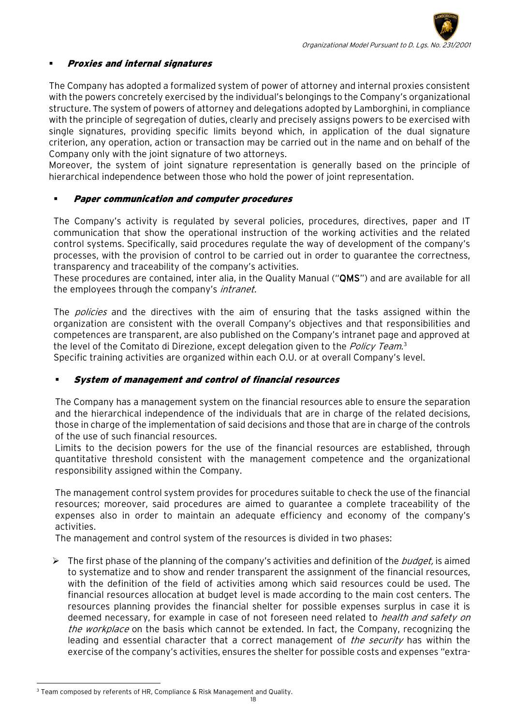## Proxies and internal signatures

The Company has adopted a formalized system of power of attorney and internal proxies consistent with the powers concretely exercised by the individual's belongings to the Company's organizational structure. The system of powers of attorney and delegations adopted by Lamborghini, in compliance with the principle of segregation of duties, clearly and precisely assigns powers to be exercised with single signatures, providing specific limits beyond which, in application of the dual signature criterion, any operation, action or transaction may be carried out in the name and on behalf of the Company only with the joint signature of two attorneys.

Moreover, the system of joint signature representation is generally based on the principle of hierarchical independence between those who hold the power of joint representation.

## Paper communication and computer procedures

The Company's activity is regulated by several policies, procedures, directives, paper and IT communication that show the operational instruction of the working activities and the related control systems. Specifically, said procedures regulate the way of development of the company's processes, with the provision of control to be carried out in order to guarantee the correctness, transparency and traceability of the company's activities.

These procedures are contained, inter alia, in the Quality Manual ("QMS") and are available for all the employees through the company's *intranet*.

The *policies* and the directives with the aim of ensuring that the tasks assigned within the organization are consistent with the overall Company's objectives and that responsibilities and competences are transparent, are also published on the Company's intranet page and approved at the level of the Comitato di Direzione, except delegation given to the *Policy Team*.<sup>[3](#page-17-0)</sup> Specific training activities are organized within each O.U. or at overall Company's level.

# System of management and control of financial resources

The Company has a management system on the financial resources able to ensure the separation and the hierarchical independence of the individuals that are in charge of the related decisions, those in charge of the implementation of said decisions and those that are in charge of the controls of the use of such financial resources.

Limits to the decision powers for the use of the financial resources are established, through quantitative threshold consistent with the management competence and the organizational responsibility assigned within the Company.

The management control system provides for procedures suitable to check the use of the financial resources; moreover, said procedures are aimed to guarantee a complete traceability of the expenses also in order to maintain an adequate efficiency and economy of the company's activities.

The management and control system of the resources is divided in two phases:

 $\triangleright$  The first phase of the planning of the company's activities and definition of the *budget*, is aimed to systematize and to show and render transparent the assignment of the financial resources, with the definition of the field of activities among which said resources could be used. The financial resources allocation at budget level is made according to the main cost centers. The resources planning provides the financial shelter for possible expenses surplus in case it is deemed necessary, for example in case of not foreseen need related to *health and safety on* the workplace on the basis which cannot be extended. In fact, the Company, recognizing the leading and essential character that a correct management of *the security* has within the exercise of the company's activities, ensures the shelter for possible costs and expenses "extra-

<span id="page-17-0"></span> $^3$  Team composed by referents of HR, Compliance & Risk Management and Quality.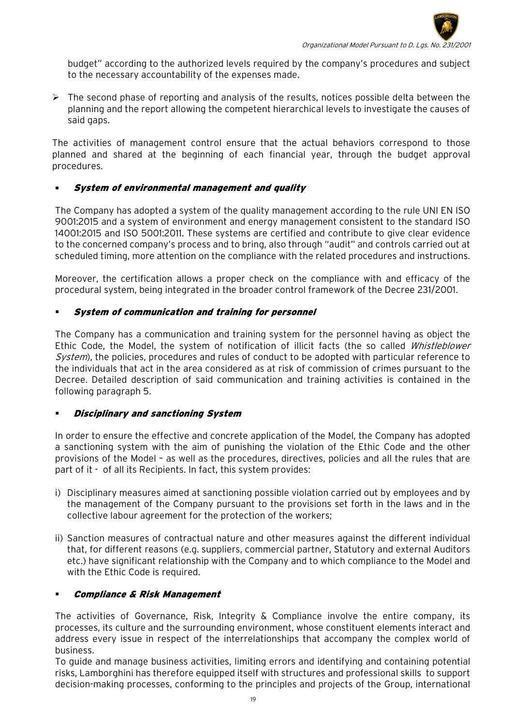

budget" according to the authorized levels required by the company's procedures and subject to the necessary accountability of the expenses made.

 $\triangleright$  The second phase of reporting and analysis of the results, notices possible delta between the planning and the report allowing the competent hierarchical levels to investigate the causes of said gaps.

The activities of management control ensure that the actual behaviors correspond to those planned and shared at the beginning of each financial year, through the budget approval procedures.

## System of environmental management and quality

The Company has adopted a system of the quality management according to the rule UNI EN ISO 9001:2015 and a system of environment and energy management consistent to the standard ISO 14001:2015 and ISO 5001:2011. These systems are certified and contribute to give clear evidence to the concerned company's process and to bring, also through "audit" and controls carried out at scheduled timing, more attention on the compliance with the related procedures and instructions.

Moreover, the certification allows a proper check on the compliance with and efficacy of the procedural system, being integrated in the broader control framework of the Decree 231/2001.

## System of communication and training for personnel

The Company has a communication and training system for the personnel having as object the Ethic Code, the Model, the system of notification of illicit facts (the so called Whistleblower System), the policies, procedures and rules of conduct to be adopted with particular reference to the individuals that act in the area considered as at risk of commission of crimes pursuant to the Decree. Detailed description of said communication and training activities is contained in the following paragraph 5.

#### Disciplinary and sanctioning System

In order to ensure the effective and concrete application of the Model, the Company has adopted a sanctioning system with the aim of punishing the violation of the Ethic Code and the other provisions of the Model – as well as the procedures, directives, policies and all the rules that are part of it - of all its Recipients. In fact, this system provides:

- i) Disciplinary measures aimed at sanctioning possible violation carried out by employees and by the management of the Company pursuant to the provisions set forth in the laws and in the collective labour agreement for the protection of the workers;
- ii) Sanction measures of contractual nature and other measures against the different individual that, for different reasons (e.g. suppliers, commercial partner, Statutory and external Auditors etc.) have significant relationship with the Company and to which compliance to the Model and with the Ethic Code is required.

#### Compliance & Risk Management

The activities of Governance, Risk, Integrity & Compliance involve the entire company, its processes, its culture and the surrounding environment, whose constituent elements interact and address every issue in respect of the interrelationships that accompany the complex world of business.

To guide and manage business activities, limiting errors and identifying and containing potential risks, Lamborghini has therefore equipped itself with structures and professional skills to support decision-making processes, conforming to the principles and projects of the Group, international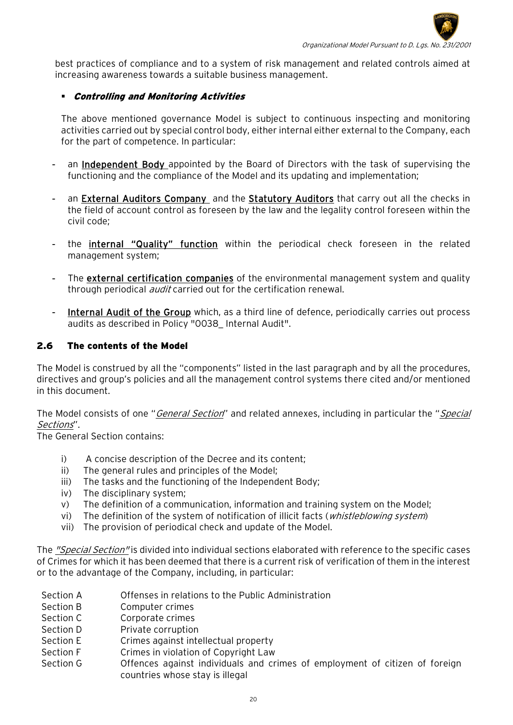

best practices of compliance and to a system of risk management and related controls aimed at increasing awareness towards a suitable business management.

## Controlling and Monitoring Activities

The above mentioned governance Model is subject to continuous inspecting and monitoring activities carried out by special control body, either internal either external to the Company, each for the part of competence. In particular:

- an Independent Body appointed by the Board of Directors with the task of supervising the functioning and the compliance of the Model and its updating and implementation;
- an External Auditors Company and the Statutory Auditors that carry out all the checks in the field of account control as foreseen by the law and the legality control foreseen within the civil code;
- the internal "Quality" function within the periodical check foreseen in the related management system;
- The external certification companies of the environmental management system and quality through periodical *audit* carried out for the certification renewal.
- Internal Audit of the Group which, as a third line of defence, periodically carries out process audits as described in Policy "0038\_ Internal Audit".

## <span id="page-19-0"></span>2.6 The contents of the Model

The Model is construed by all the "components" listed in the last paragraph and by all the procedures, directives and group's policies and all the management control systems there cited and/or mentioned in this document.

The Model consists of one "General Section" and related annexes, including in particular the "Special Sections".

The General Section contains:

- i) A concise description of the Decree and its content;
- ii) The general rules and principles of the Model;
- iii) The tasks and the functioning of the Independent Body;
- iv) The disciplinary system;
- v) The definition of a communication, information and training system on the Model;
- vi) The definition of the system of notification of illicit facts (*whistleblowing system*)
- vii) The provision of periodical check and update of the Model.

The "Special Section" is divided into individual sections elaborated with reference to the specific cases of Crimes for which it has been deemed that there is a current risk of verification of them in the interest or to the advantage of the Company, including, in particular:

- Section A Offenses in relations to the Public Administration
- Section B Computer crimes
- Section C Corporate crimes
- Section D Private corruption
- Section E Crimes against intellectual property
- Section F Crimes in violation of Copyright Law
- Section G Offences against individuals and crimes of employment of citizen of foreign countries whose stay is illegal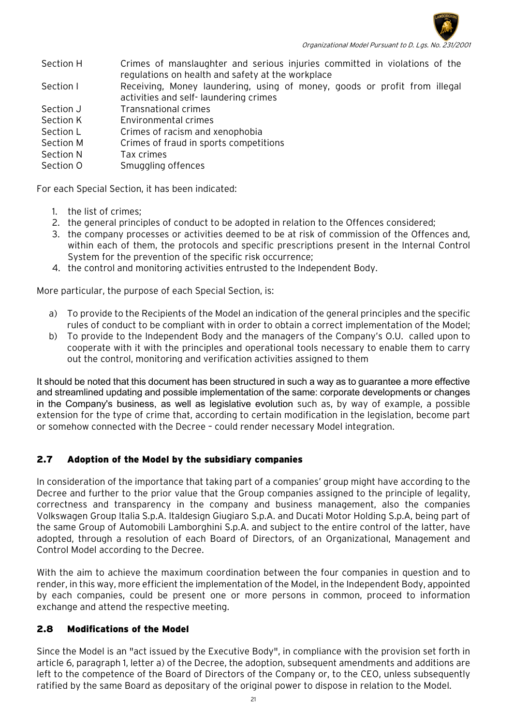

Section H Crimes of manslaughter and serious injuries committed in violations of the regulations on health and safety at the workplace

Section I Receiving, Money laundering, using of money, goods or profit from illegal activities and self- laundering crimes

Section J Transnational crimes

Section K Environmental crimes

- Section L Crimes of racism and xenophobia
- Section M Crimes of fraud in sports competitions
- Section N Tax crimes
- Section O Smuggling offences

For each Special Section, it has been indicated:

- 1. the list of crimes;
- 2. the general principles of conduct to be adopted in relation to the Offences considered;
- 3. the company processes or activities deemed to be at risk of commission of the Offences and, within each of them, the protocols and specific prescriptions present in the Internal Control System for the prevention of the specific risk occurrence;
- 4. the control and monitoring activities entrusted to the Independent Body.

More particular, the purpose of each Special Section, is:

- a) To provide to the Recipients of the Model an indication of the general principles and the specific rules of conduct to be compliant with in order to obtain a correct implementation of the Model;
- b) To provide to the Independent Body and the managers of the Company's O.U. called upon to cooperate with it with the principles and operational tools necessary to enable them to carry out the control, monitoring and verification activities assigned to them

It should be noted that this document has been structured in such a way as to guarantee a more effective and streamlined updating and possible implementation of the same: corporate developments or changes in the Company's business, as well as legislative evolution such as, by way of example, a possible extension for the type of crime that, according to certain modification in the legislation, become part or somehow connected with the Decree – could render necessary Model integration.

# 2.7 Adoption of the Model by the subsidiary companies

In consideration of the importance that taking part of a companies' group might have according to the Decree and further to the prior value that the Group companies assigned to the principle of legality, correctness and transparency in the company and business management, also the companies Volkswagen Group Italia S.p.A. Italdesign Giugiaro S.p.A. and Ducati Motor Holding S.p.A, being part of the same Group of Automobili Lamborghini S.p.A. and subject to the entire control of the latter, have adopted, through a resolution of each Board of Directors, of an Organizational, Management and Control Model according to the Decree.

With the aim to achieve the maximum coordination between the four companies in question and to render, in this way, more efficient the implementation of the Model, in the Independent Body, appointed by each companies, could be present one or more persons in common, proceed to information exchange and attend the respective meeting.

# <span id="page-20-0"></span>2.8 Modifications of the Model

Since the Model is an "act issued by the Executive Body", in compliance with the provision set forth in article 6, paragraph 1, letter a) of the Decree, the adoption, subsequent amendments and additions are left to the competence of the Board of Directors of the Company or, to the CEO, unless subsequently ratified by the same Board as depositary of the original power to dispose in relation to the Model.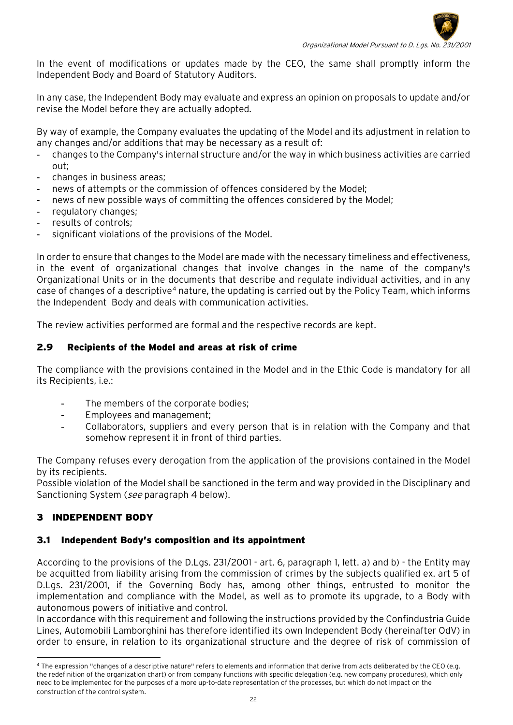

In the event of modifications or updates made by the CEO, the same shall promptly inform the Independent Body and Board of Statutory Auditors.

In any case, the Independent Body may evaluate and express an opinion on proposals to update and/or revise the Model before they are actually adopted.

By way of example, the Company evaluates the updating of the Model and its adjustment in relation to any changes and/or additions that may be necessary as a result of:

- changes to the Company's internal structure and/or the way in which business activities are carried out;
- changes in business areas;
- news of attempts or the commission of offences considered by the Model:
- news of new possible ways of committing the offences considered by the Model;
- regulatory changes;
- results of controls;
- significant violations of the provisions of the Model.

In order to ensure that changes to the Model are made with the necessary timeliness and effectiveness, in the event of organizational changes that involve changes in the name of the company's Organizational Units or in the documents that describe and regulate individual activities, and in any case of changes of a descriptive<sup>[4](#page-21-3)</sup> nature, the updating is carried out by the Policy Team, which informs the Independent Body and deals with communication activities.

The review activities performed are formal and the respective records are kept.

# <span id="page-21-0"></span>2.9 Recipients of the Model and areas at risk of crime

The compliance with the provisions contained in the Model and in the Ethic Code is mandatory for all its Recipients, i.e.:

- The members of the corporate bodies;
- Employees and management;
- Collaborators, suppliers and every person that is in relation with the Company and that somehow represent it in front of third parties.

The Company refuses every derogation from the application of the provisions contained in the Model by its recipients.

Possible violation of the Model shall be sanctioned in the term and way provided in the Disciplinary and Sanctioning System (see paragraph 4 below).

# <span id="page-21-1"></span>3 INDEPENDENT BODY

# <span id="page-21-2"></span>3.1 Independent Body's composition and its appointment

According to the provisions of the D.Lgs. 231/2001 - art. 6, paragraph 1, lett. a) and b) - the Entity may be acquitted from liability arising from the commission of crimes by the subjects qualified ex. art 5 of D.Lgs. 231/2001, if the Governing Body has, among other things, entrusted to monitor the implementation and compliance with the Model, as well as to promote its upgrade, to a Body with autonomous powers of initiative and control.

In accordance with this requirement and following the instructions provided by the Confindustria Guide Lines, Automobili Lamborghini has therefore identified its own Independent Body (hereinafter OdV) in order to ensure, in relation to its organizational structure and the degree of risk of commission of

<span id="page-21-3"></span><sup>4</sup> The expression "changes of a descriptive nature" refers to elements and information that derive from acts deliberated by the CEO (e.g. the redefinition of the organization chart) or from company functions with specific delegation (e.g. new company procedures), which only need to be implemented for the purposes of a more up-to-date representation of the processes, but which do not impact on the construction of the control system.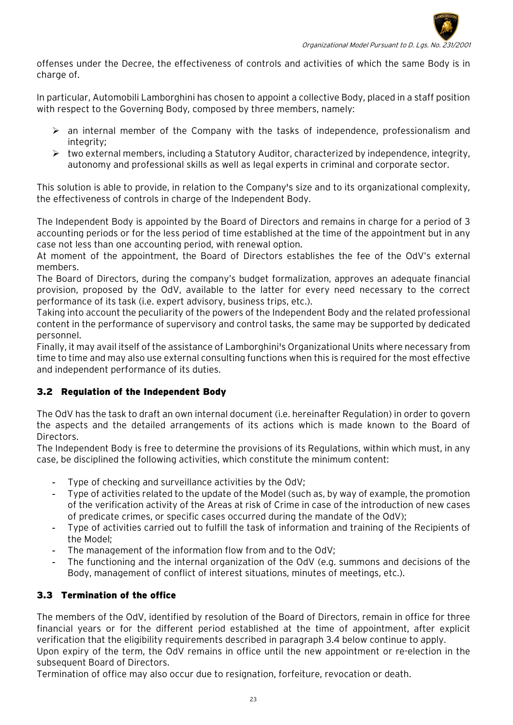

offenses under the Decree, the effectiveness of controls and activities of which the same Body is in charge of.

In particular, Automobili Lamborghini has chosen to appoint a collective Body, placed in a staff position with respect to the Governing Body, composed by three members, namely:

- $\triangleright$  an internal member of the Company with the tasks of independence, professionalism and integrity;
- $\triangleright$  two external members, including a Statutory Auditor, characterized by independence, integrity, autonomy and professional skills as well as legal experts in criminal and corporate sector.

This solution is able to provide, in relation to the Company's size and to its organizational complexity, the effectiveness of controls in charge of the Independent Body.

The Independent Body is appointed by the Board of Directors and remains in charge for a period of 3 accounting periods or for the less period of time established at the time of the appointment but in any case not less than one accounting period, with renewal option.

At moment of the appointment, the Board of Directors establishes the fee of the OdV's external members.

The Board of Directors, during the company's budget formalization, approves an adequate financial provision, proposed by the OdV, available to the latter for every need necessary to the correct performance of its task (i.e. expert advisory, business trips, etc.).

Taking into account the peculiarity of the powers of the Independent Body and the related professional content in the performance of supervisory and control tasks, the same may be supported by dedicated personnel.

Finally, it may avail itself of the assistance of Lamborghini's Organizational Units where necessary from time to time and may also use external consulting functions when this is required for the most effective and independent performance of its duties.

# <span id="page-22-0"></span>3.2 Regulation of the Independent Body

The OdV has the task to draft an own internal document (i.e. hereinafter Regulation) in order to govern the aspects and the detailed arrangements of its actions which is made known to the Board of Directors.

The Independent Body is free to determine the provisions of its Regulations, within which must, in any case, be disciplined the following activities, which constitute the minimum content:

- Type of checking and surveillance activities by the OdV;
- Type of activities related to the update of the Model (such as, by way of example, the promotion of the verification activity of the Areas at risk of Crime in case of the introduction of new cases of predicate crimes, or specific cases occurred during the mandate of the OdV);
- Type of activities carried out to fulfill the task of information and training of the Recipients of the Model;
- The management of the information flow from and to the OdV;
- The functioning and the internal organization of the OdV (e.g. summons and decisions of the Body, management of conflict of interest situations, minutes of meetings, etc.).

# <span id="page-22-1"></span>3.3 Termination of the office

The members of the OdV, identified by resolution of the Board of Directors, remain in office for three financial years or for the different period established at the time of appointment, after explicit verification that the eligibility requirements described in paragraph 3.4 below continue to apply.

Upon expiry of the term, the OdV remains in office until the new appointment or re-election in the subsequent Board of Directors.

Termination of office may also occur due to resignation, forfeiture, revocation or death.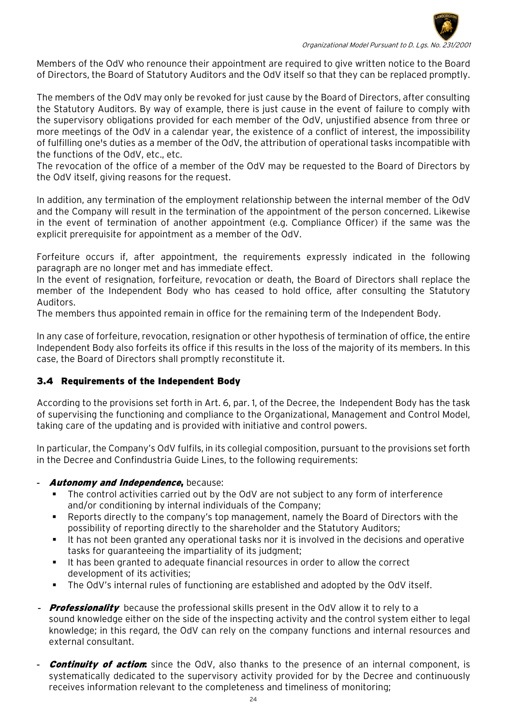

Members of the OdV who renounce their appointment are required to give written notice to the Board of Directors, the Board of Statutory Auditors and the OdV itself so that they can be replaced promptly.

The members of the OdV may only be revoked for just cause by the Board of Directors, after consulting the Statutory Auditors. By way of example, there is just cause in the event of failure to comply with the supervisory obligations provided for each member of the OdV, unjustified absence from three or more meetings of the OdV in a calendar year, the existence of a conflict of interest, the impossibility of fulfilling one's duties as a member of the OdV, the attribution of operational tasks incompatible with the functions of the OdV, etc., etc.

The revocation of the office of a member of the OdV may be requested to the Board of Directors by the OdV itself, giving reasons for the request.

In addition, any termination of the employment relationship between the internal member of the OdV and the Company will result in the termination of the appointment of the person concerned. Likewise in the event of termination of another appointment (e.g. Compliance Officer) if the same was the explicit prerequisite for appointment as a member of the OdV.

Forfeiture occurs if, after appointment, the requirements expressly indicated in the following paragraph are no longer met and has immediate effect.

In the event of resignation, forfeiture, revocation or death, the Board of Directors shall replace the member of the Independent Body who has ceased to hold office, after consulting the Statutory Auditors.

The members thus appointed remain in office for the remaining term of the Independent Body.

In any case of forfeiture, revocation, resignation or other hypothesis of termination of office, the entire Independent Body also forfeits its office if this results in the loss of the majority of its members. In this case, the Board of Directors shall promptly reconstitute it.

# <span id="page-23-0"></span>3.4 Requirements of the Independent Body

According to the provisions set forth in Art. 6, par. 1, of the Decree, the Independent Body has the task of supervising the functioning and compliance to the Organizational, Management and Control Model, taking care of the updating and is provided with initiative and control powers.

In particular, the Company's OdV fulfils, in its collegial composition, pursuant to the provisions set forth in the Decree and Confindustria Guide Lines, to the following requirements:

# Autonomy and Independence, because:

- The control activities carried out by the OdV are not subject to any form of interference and/or conditioning by internal individuals of the Company;
- Reports directly to the company's top management, namely the Board of Directors with the possibility of reporting directly to the shareholder and the Statutory Auditors;
- It has not been granted any operational tasks nor it is involved in the decisions and operative tasks for guaranteeing the impartiality of its judgment;
- It has been granted to adequate financial resources in order to allow the correct development of its activities;
- The OdV's internal rules of functioning are established and adopted by the OdV itself.
- **Professionality** because the professional skills present in the OdV allow it to rely to a sound knowledge either on the side of the inspecting activity and the control system either to legal knowledge; in this regard, the OdV can rely on the company functions and internal resources and external consultant.
- **Continuity of action:** since the OdV, also thanks to the presence of an internal component, is systematically dedicated to the supervisory activity provided for by the Decree and continuously receives information relevant to the completeness and timeliness of monitoring;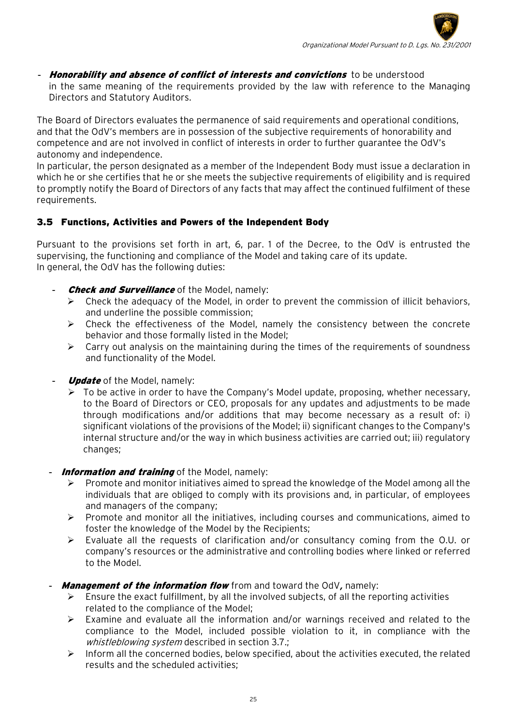**Honorability and absence of conflict of interests and convictions** to be understood in the same meaning of the requirements provided by the law with reference to the Managing Directors and Statutory Auditors.

The Board of Directors evaluates the permanence of said requirements and operational conditions, and that the OdV's members are in possession of the subjective requirements of honorability and competence and are not involved in conflict of interests in order to further guarantee the OdV's autonomy and independence.

In particular, the person designated as a member of the Independent Body must issue a declaration in which he or she certifies that he or she meets the subjective requirements of eligibility and is required to promptly notify the Board of Directors of any facts that may affect the continued fulfilment of these requirements.

# <span id="page-24-0"></span>3.5 Functions, Activities and Powers of the Independent Body

Pursuant to the provisions set forth in art, 6, par. 1 of the Decree, to the OdV is entrusted the supervising, the functioning and compliance of the Model and taking care of its update. In general, the OdV has the following duties:

- **Check and Surveillance** of the Model, namely:
	- $\triangleright$  Check the adequacy of the Model, in order to prevent the commission of illicit behaviors, and underline the possible commission;
	- $\triangleright$  Check the effectiveness of the Model, namely the consistency between the concrete behavior and those formally listed in the Model;
	- $\triangleright$  Carry out analysis on the maintaining during the times of the requirements of soundness and functionality of the Model.
- **Update** of the Model, namely:
	- $\triangleright$  To be active in order to have the Company's Model update, proposing, whether necessary, to the Board of Directors or CEO, proposals for any updates and adjustments to be made through modifications and/or additions that may become necessary as a result of: i) significant violations of the provisions of the Model; ii) significant changes to the Company's internal structure and/or the way in which business activities are carried out; iii) regulatory changes;
- Information and training of the Model, namely:
	- Promote and monitor initiatives aimed to spread the knowledge of the Model among all the individuals that are obliged to comply with its provisions and, in particular, of employees and managers of the company;
	- $\triangleright$  Promote and monitor all the initiatives, including courses and communications, aimed to foster the knowledge of the Model by the Recipients;
	- $\triangleright$  Evaluate all the requests of clarification and/or consultancy coming from the O.U. or company's resources or the administrative and controlling bodies where linked or referred to the Model.
- **Management of the information flow** from and toward the OdV, namely:
	- Ensure the exact fulfillment, by all the involved subjects, of all the reporting activities related to the compliance of the Model;
	- Examine and evaluate all the information and/or warnings received and related to the compliance to the Model, included possible violation to it, in compliance with the whistleblowing system described in section 3.7.;
	- $\triangleright$  Inform all the concerned bodies, below specified, about the activities executed, the related results and the scheduled activities;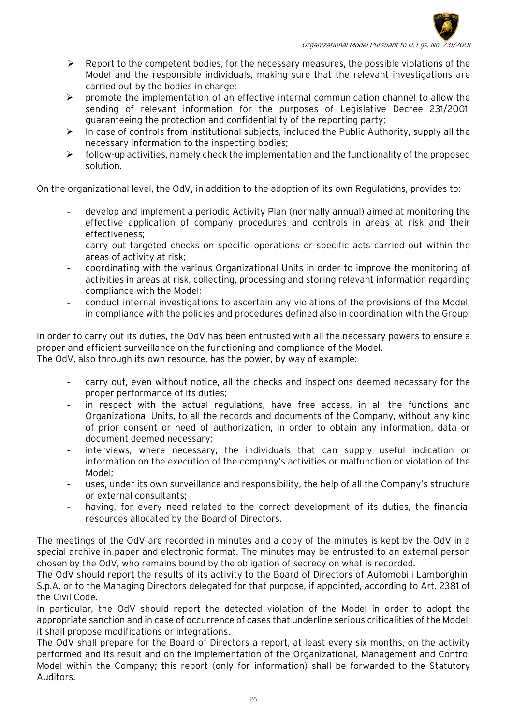

- $\triangleright$  Report to the competent bodies, for the necessary measures, the possible violations of the Model and the responsible individuals, making sure that the relevant investigations are carried out by the bodies in charge;
- $\triangleright$  promote the implementation of an effective internal communication channel to allow the sending of relevant information for the purposes of Legislative Decree 231/2001, guaranteeing the protection and confidentiality of the reporting party;
- $\triangleright$  In case of controls from institutional subjects, included the Public Authority, supply all the necessary information to the inspecting bodies;
- $\triangleright$  follow-up activities, namely check the implementation and the functionality of the proposed solution.

On the organizational level, the OdV, in addition to the adoption of its own Regulations, provides to:

- develop and implement a periodic Activity Plan (normally annual) aimed at monitoring the effective application of company procedures and controls in areas at risk and their effectiveness;
- carry out targeted checks on specific operations or specific acts carried out within the areas of activity at risk;
- coordinating with the various Organizational Units in order to improve the monitoring of activities in areas at risk, collecting, processing and storing relevant information regarding compliance with the Model;
- conduct internal investigations to ascertain any violations of the provisions of the Model, in compliance with the policies and procedures defined also in coordination with the Group.

In order to carry out its duties, the OdV has been entrusted with all the necessary powers to ensure a proper and efficient surveillance on the functioning and compliance of the Model. The OdV, also through its own resource, has the power, by way of example:

- carry out, even without notice, all the checks and inspections deemed necessary for the proper performance of its duties;
- in respect with the actual regulations, have free access, in all the functions and Organizational Units, to all the records and documents of the Company, without any kind of prior consent or need of authorization, in order to obtain any information, data or document deemed necessary;
- interviews, where necessary, the individuals that can supply useful indication or information on the execution of the company's activities or malfunction or violation of the Model;
- uses, under its own surveillance and responsibility, the help of all the Company's structure or external consultants;
- having, for every need related to the correct development of its duties, the financial resources allocated by the Board of Directors.

The meetings of the OdV are recorded in minutes and a copy of the minutes is kept by the OdV in a special archive in paper and electronic format. The minutes may be entrusted to an external person chosen by the OdV, who remains bound by the obligation of secrecy on what is recorded.

The OdV should report the results of its activity to the Board of Directors of Automobili Lamborghini S.p.A. or to the Managing Directors delegated for that purpose, if appointed, according to Art. 2381 of the Civil Code.

In particular, the OdV should report the detected violation of the Model in order to adopt the appropriate sanction and in case of occurrence of cases that underline serious criticalities of the Model; it shall propose modifications or integrations.

The OdV shall prepare for the Board of Directors a report, at least every six months, on the activity performed and its result and on the implementation of the Organizational, Management and Control Model within the Company; this report (only for information) shall be forwarded to the Statutory Auditors.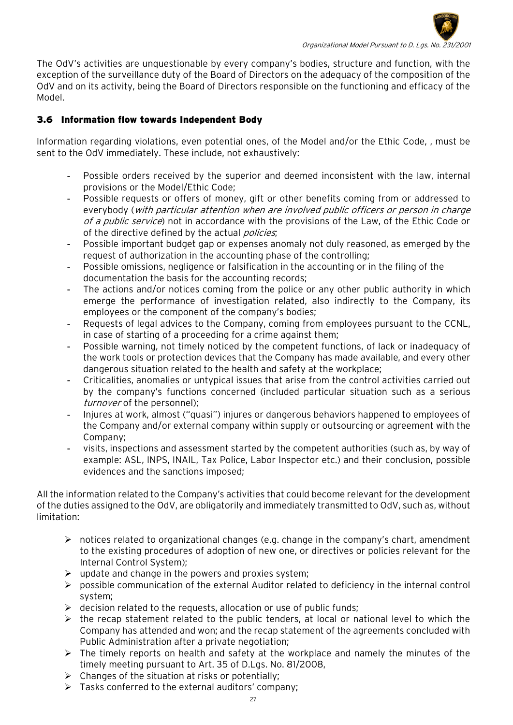

The OdV's activities are unquestionable by every company's bodies, structure and function, with the exception of the surveillance duty of the Board of Directors on the adequacy of the composition of the OdV and on its activity, being the Board of Directors responsible on the functioning and efficacy of the Model.

# <span id="page-26-0"></span>3.6 Information flow towards Independent Body

Information regarding violations, even potential ones, of the Model and/or the Ethic Code, , must be sent to the OdV immediately. These include, not exhaustively:

- Possible orders received by the superior and deemed inconsistent with the law, internal provisions or the Model/Ethic Code;
- Possible requests or offers of money, gift or other benefits coming from or addressed to everybody (with particular attention when are involved public officers or person in charge of a public service) not in accordance with the provisions of the Law, of the Ethic Code or of the directive defined by the actual *policies*;
- Possible important budget gap or expenses anomaly not duly reasoned, as emerged by the request of authorization in the accounting phase of the controlling;
- Possible omissions, negligence or falsification in the accounting or in the filing of the documentation the basis for the accounting records;
- The actions and/or notices coming from the police or any other public authority in which emerge the performance of investigation related, also indirectly to the Company, its employees or the component of the company's bodies;
- Requests of legal advices to the Company, coming from employees pursuant to the CCNL, in case of starting of a proceeding for a crime against them;
- Possible warning, not timely noticed by the competent functions, of lack or inadequacy of the work tools or protection devices that the Company has made available, and every other dangerous situation related to the health and safety at the workplace;
- Criticalities, anomalies or untypical issues that arise from the control activities carried out by the company's functions concerned (included particular situation such as a serious turnover of the personnel);
- Injures at work, almost ("quasi") injures or dangerous behaviors happened to employees of the Company and/or external company within supply or outsourcing or agreement with the Company;
- visits, inspections and assessment started by the competent authorities (such as, by way of example: ASL, INPS, INAIL, Tax Police, Labor Inspector etc.) and their conclusion, possible evidences and the sanctions imposed;

All the information related to the Company's activities that could become relevant for the development of the duties assigned to the OdV, are obligatorily and immediately transmitted to OdV, such as, without limitation:

- $\triangleright$  notices related to organizational changes (e.g. change in the company's chart, amendment to the existing procedures of adoption of new one, or directives or policies relevant for the Internal Control System);
- $\triangleright$  update and change in the powers and proxies system;
- $\triangleright$  possible communication of the external Auditor related to deficiency in the internal control system;
- $\triangleright$  decision related to the requests, allocation or use of public funds;
- $\triangleright$  the recap statement related to the public tenders, at local or national level to which the Company has attended and won; and the recap statement of the agreements concluded with Public Administration after a private negotiation;
- $\triangleright$  The timely reports on health and safety at the workplace and namely the minutes of the timely meeting pursuant to Art. 35 of D.Lgs. No. 81/2008,
- $\triangleright$  Changes of the situation at risks or potentially;
- $\triangleright$  Tasks conferred to the external auditors' company;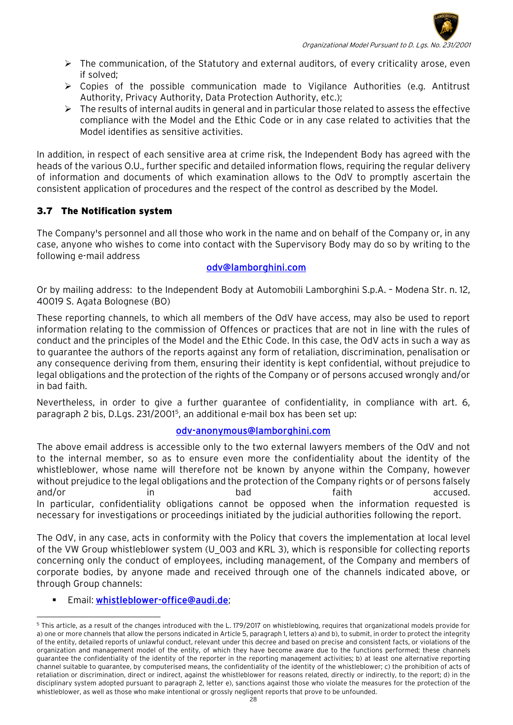

- $\triangleright$  The communication, of the Statutory and external auditors, of every criticality arose, even if solved;
- $\triangleright$  Copies of the possible communication made to Vigilance Authorities (e.g. Antitrust Authority, Privacy Authority, Data Protection Authority, etc.);
- $\triangleright$  The results of internal audits in general and in particular those related to assess the effective compliance with the Model and the Ethic Code or in any case related to activities that the Model identifies as sensitive activities.

In addition, in respect of each sensitive area at crime risk, the Independent Body has agreed with the heads of the various O.U., further specific and detailed information flows, requiring the regular delivery of information and documents of which examination allows to the OdV to promptly ascertain the consistent application of procedures and the respect of the control as described by the Model.

# 3.7 The Notification system

The Company's personnel and all those who work in the name and on behalf of the Company or, in any case, anyone who wishes to come into contact with the Supervisory Body may do so by writing to the following e-mail address

## [odv@lamborghini.com](mailto:odv@lamborghini.com)

Or by mailing address: to the Independent Body at Automobili Lamborghini S.p.A. – Modena Str. n. 12, 40019 S. Agata Bolognese (BO)

These reporting channels, to which all members of the OdV have access, may also be used to report information relating to the commission of Offences or practices that are not in line with the rules of conduct and the principles of the Model and the Ethic Code. In this case, the OdV acts in such a way as to guarantee the authors of the reports against any form of retaliation, discrimination, penalisation or any consequence deriving from them, ensuring their identity is kept confidential, without prejudice to legal obligations and the protection of the rights of the Company or of persons accused wrongly and/or in bad faith.

Nevertheless, in order to give a further guarantee of confidentiality, in compliance with art. 6, paragraph 2 bis, D.Lgs. 231/2001[5](#page-27-0), an additional e-mail box has been set up:

# odv-anonymous@lamborghini.com

The above email address is accessible only to the two external lawyers members of the OdV and not to the internal member, so as to ensure even more the confidentiality about the identity of the whistleblower, whose name will therefore not be known by anyone within the Company, however without prejudice to the legal obligations and the protection of the Company rights or of persons falsely and/or in bad faith accused. In particular, confidentiality obligations cannot be opposed when the information requested is necessary for investigations or proceedings initiated by the judicial authorities following the report.

The OdV, in any case, acts in conformity with the Policy that covers the implementation at local level of the VW Group whistleblower system (U\_003 and KRL 3), which is responsible for collecting reports concerning only the conduct of employees, including management, of the Company and members of corporate bodies, by anyone made and received through one of the channels indicated above, or through Group channels:

# **Email: [whistleblower-office@audi.de;](mailto:whistleblower-office@audi.de)**

<span id="page-27-0"></span><sup>5</sup> This article, as a result of the changes introduced with the L. 179/2017 on whistleblowing, requires that organizational models provide for a) one or more channels that allow the persons indicated in Article 5, paragraph 1, letters a) and b), to submit, in order to protect the integrity of the entity, detailed reports of unlawful conduct, relevant under this decree and based on precise and consistent facts, or violations of the organization and management model of the entity, of which they have become aware due to the functions performed; these channels guarantee the confidentiality of the identity of the reporter in the reporting management activities; b) at least one alternative reporting channel suitable to guarantee, by computerised means, the confidentiality of the identity of the whistleblower; c) the prohibition of acts of retaliation or discrimination, direct or indirect, against the whistleblower for reasons related, directly or indirectly, to the report; d) in the disciplinary system adopted pursuant to paragraph 2, letter e), sanctions against those who violate the measures for the protection of the whistleblower, as well as those who make intentional or grossly negligent reports that prove to be unfounded.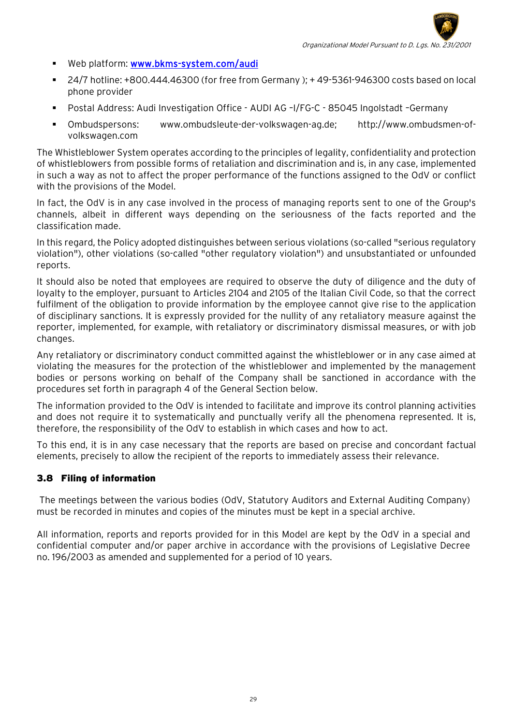

- Web platform: [www.bkms-system.com/audi](http://www.bkms-system.com/audi)
- 24/7 hotline: +800.444.46300 (for free from Germany ); + 49-5361-946300 costs based on local phone provider
- Postal Address: Audi Investigation Office AUDI AG –I/FG-C 85045 Ingolstadt –Germany
- Ombudspersons: [www.ombudsleute-der-volkswagen-ag.de;](http://www.ombudsleute-der-volkswagen-ag.de/) http://www.ombudsmen-ofvolkswagen.com

The Whistleblower System operates according to the principles of legality, confidentiality and protection of whistleblowers from possible forms of retaliation and discrimination and is, in any case, implemented in such a way as not to affect the proper performance of the functions assigned to the OdV or conflict with the provisions of the Model.

In fact, the OdV is in any case involved in the process of managing reports sent to one of the Group's channels, albeit in different ways depending on the seriousness of the facts reported and the classification made.

In this regard, the Policy adopted distinguishes between serious violations (so-called "serious regulatory violation"), other violations (so-called "other regulatory violation") and unsubstantiated or unfounded reports.

It should also be noted that employees are required to observe the duty of diligence and the duty of loyalty to the employer, pursuant to Articles 2104 and 2105 of the Italian Civil Code, so that the correct fulfilment of the obligation to provide information by the employee cannot give rise to the application of disciplinary sanctions. It is expressly provided for the nullity of any retaliatory measure against the reporter, implemented, for example, with retaliatory or discriminatory dismissal measures, or with job changes.

Any retaliatory or discriminatory conduct committed against the whistleblower or in any case aimed at violating the measures for the protection of the whistleblower and implemented by the management bodies or persons working on behalf of the Company shall be sanctioned in accordance with the procedures set forth in paragraph 4 of the General Section below.

The information provided to the OdV is intended to facilitate and improve its control planning activities and does not require it to systematically and punctually verify all the phenomena represented. It is, therefore, the responsibility of the OdV to establish in which cases and how to act.

To this end, it is in any case necessary that the reports are based on precise and concordant factual elements, precisely to allow the recipient of the reports to immediately assess their relevance.

#### <span id="page-28-0"></span>3.8 Filing of information

The meetings between the various bodies (OdV, Statutory Auditors and External Auditing Company) must be recorded in minutes and copies of the minutes must be kept in a special archive.

All information, reports and reports provided for in this Model are kept by the OdV in a special and confidential computer and/or paper archive in accordance with the provisions of Legislative Decree no. 196/2003 as amended and supplemented for a period of 10 years.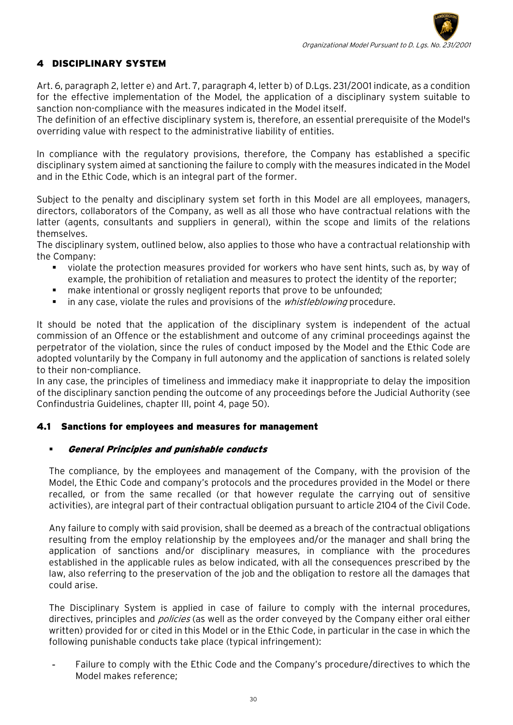# <span id="page-29-0"></span>4 DISCIPLINARY SYSTEM

Art. 6, paragraph 2, letter e) and Art. 7, paragraph 4, letter b) of D.Lgs. 231/2001 indicate, as a condition for the effective implementation of the Model, the application of a disciplinary system suitable to sanction non-compliance with the measures indicated in the Model itself.

The definition of an effective disciplinary system is, therefore, an essential prerequisite of the Model's overriding value with respect to the administrative liability of entities.

In compliance with the regulatory provisions, therefore, the Company has established a specific disciplinary system aimed at sanctioning the failure to comply with the measures indicated in the Model and in the Ethic Code, which is an integral part of the former.

Subject to the penalty and disciplinary system set forth in this Model are all employees, managers, directors, collaborators of the Company, as well as all those who have contractual relations with the latter (agents, consultants and suppliers in general), within the scope and limits of the relations themselves.

The disciplinary system, outlined below, also applies to those who have a contractual relationship with the Company:

- violate the protection measures provided for workers who have sent hints, such as, by way of example, the prohibition of retaliation and measures to protect the identity of the reporter;
- make intentional or grossly negligent reports that prove to be unfounded;
- **IF** in any case, violate the rules and provisions of the *whistleblowing* procedure.

It should be noted that the application of the disciplinary system is independent of the actual commission of an Offence or the establishment and outcome of any criminal proceedings against the perpetrator of the violation, since the rules of conduct imposed by the Model and the Ethic Code are adopted voluntarily by the Company in full autonomy and the application of sanctions is related solely to their non-compliance.

In any case, the principles of timeliness and immediacy make it inappropriate to delay the imposition of the disciplinary sanction pending the outcome of any proceedings before the Judicial Authority (see Confindustria Guidelines, chapter III, point 4, page 50).

#### <span id="page-29-1"></span>4.1 Sanctions for employees and measures for management

#### General Principles and punishable conducts

The compliance, by the employees and management of the Company, with the provision of the Model, the Ethic Code and company's protocols and the procedures provided in the Model or there recalled, or from the same recalled (or that however regulate the carrying out of sensitive activities), are integral part of their contractual obligation pursuant to article 2104 of the Civil Code.

Any failure to comply with said provision, shall be deemed as a breach of the contractual obligations resulting from the employ relationship by the employees and/or the manager and shall bring the application of sanctions and/or disciplinary measures, in compliance with the procedures established in the applicable rules as below indicated, with all the consequences prescribed by the law, also referring to the preservation of the job and the obligation to restore all the damages that could arise.

The Disciplinary System is applied in case of failure to comply with the internal procedures, directives, principles and *policies* (as well as the order conveyed by the Company either oral either written) provided for or cited in this Model or in the Ethic Code, in particular in the case in which the following punishable conducts take place (typical infringement):

Failure to comply with the Ethic Code and the Company's procedure/directives to which the Model makes reference;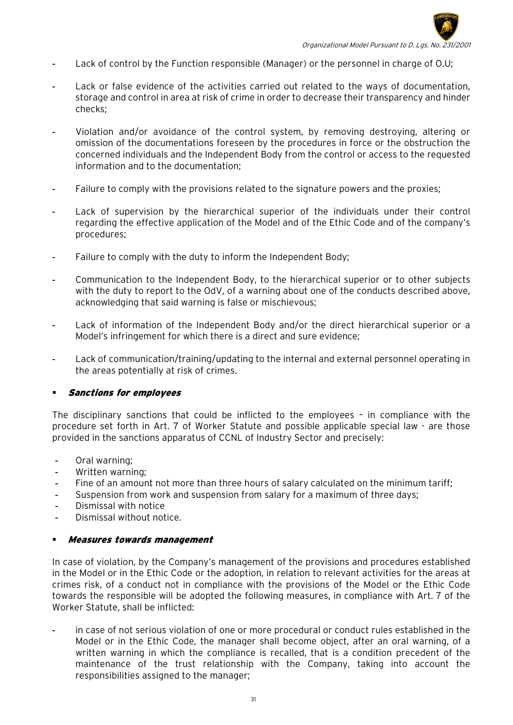

- Lack of control by the Function responsible (Manager) or the personnel in charge of O.U;
- Lack or false evidence of the activities carried out related to the ways of documentation, storage and control in area at risk of crime in order to decrease their transparency and hinder checks;
- Violation and/or avoidance of the control system, by removing destroying, altering or omission of the documentations foreseen by the procedures in force or the obstruction the concerned individuals and the Independent Body from the control or access to the requested information and to the documentation;
- Failure to comply with the provisions related to the signature powers and the proxies;
- Lack of supervision by the hierarchical superior of the individuals under their control regarding the effective application of the Model and of the Ethic Code and of the company's procedures;
- Failure to comply with the duty to inform the Independent Body;
- Communication to the Independent Body, to the hierarchical superior or to other subjects with the duty to report to the OdV, of a warning about one of the conducts described above, acknowledging that said warning is false or mischievous;
- Lack of information of the Independent Body and/or the direct hierarchical superior or a Model's infringement for which there is a direct and sure evidence;
- Lack of communication/training/updating to the internal and external personnel operating in the areas potentially at risk of crimes.

#### Sanctions for employees

The disciplinary sanctions that could be inflicted to the employees – in compliance with the procedure set forth in Art. 7 of Worker Statute and possible applicable special law - are those provided in the sanctions apparatus of CCNL of Industry Sector and precisely:

- Oral warning;
- Written warning;
- Fine of an amount not more than three hours of salary calculated on the minimum tariff;
- Suspension from work and suspension from salary for a maximum of three days;
- Dismissal with notice
- Dismissal without notice.

#### Measures towards management

In case of violation, by the Company's management of the provisions and procedures established in the Model or in the Ethic Code or the adoption, in relation to relevant activities for the areas at crimes risk, of a conduct not in compliance with the provisions of the Model or the Ethic Code towards the responsible will be adopted the following measures, in compliance with Art. 7 of the Worker Statute, shall be inflicted:

in case of not serious violation of one or more procedural or conduct rules established in the Model or in the Ethic Code, the manager shall become object, after an oral warning, of a written warning in which the compliance is recalled, that is a condition precedent of the maintenance of the trust relationship with the Company, taking into account the responsibilities assigned to the manager;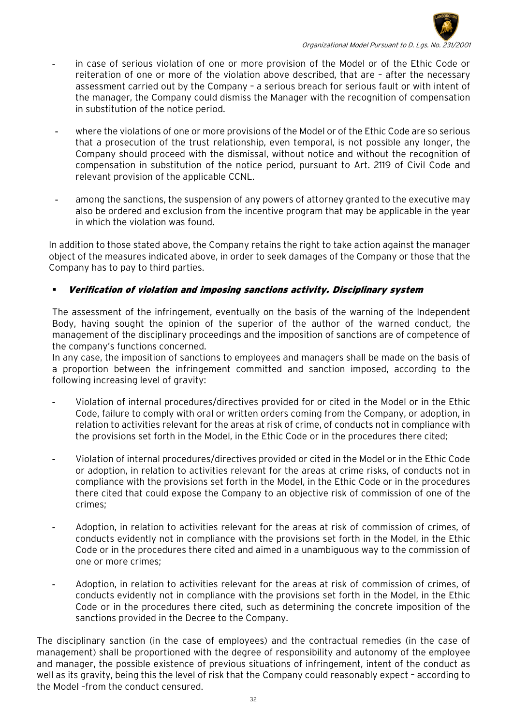

- in case of serious violation of one or more provision of the Model or of the Ethic Code or reiteration of one or more of the violation above described, that are – after the necessary assessment carried out by the Company – a serious breach for serious fault or with intent of the manager, the Company could dismiss the Manager with the recognition of compensation in substitution of the notice period.
- where the violations of one or more provisions of the Model or of the Ethic Code are so serious that a prosecution of the trust relationship, even temporal, is not possible any longer, the Company should proceed with the dismissal, without notice and without the recognition of compensation in substitution of the notice period, pursuant to Art. 2119 of Civil Code and relevant provision of the applicable CCNL.
- among the sanctions, the suspension of any powers of attorney granted to the executive may also be ordered and exclusion from the incentive program that may be applicable in the year in which the violation was found.

In addition to those stated above, the Company retains the right to take action against the manager object of the measures indicated above, in order to seek damages of the Company or those that the Company has to pay to third parties.

# Verification of violation and imposing sanctions activity. Disciplinary system

The assessment of the infringement, eventually on the basis of the warning of the Independent Body, having sought the opinion of the superior of the author of the warned conduct, the management of the disciplinary proceedings and the imposition of sanctions are of competence of the company's functions concerned.

In any case, the imposition of sanctions to employees and managers shall be made on the basis of a proportion between the infringement committed and sanction imposed, according to the following increasing level of gravity:

- Violation of internal procedures/directives provided for or cited in the Model or in the Ethic Code, failure to comply with oral or written orders coming from the Company, or adoption, in relation to activities relevant for the areas at risk of crime, of conducts not in compliance with the provisions set forth in the Model, in the Ethic Code or in the procedures there cited;
- Violation of internal procedures/directives provided or cited in the Model or in the Ethic Code or adoption, in relation to activities relevant for the areas at crime risks, of conducts not in compliance with the provisions set forth in the Model, in the Ethic Code or in the procedures there cited that could expose the Company to an objective risk of commission of one of the crimes;
- Adoption, in relation to activities relevant for the areas at risk of commission of crimes, of conducts evidently not in compliance with the provisions set forth in the Model, in the Ethic Code or in the procedures there cited and aimed in a unambiguous way to the commission of one or more crimes;
- Adoption, in relation to activities relevant for the areas at risk of commission of crimes, of conducts evidently not in compliance with the provisions set forth in the Model, in the Ethic Code or in the procedures there cited, such as determining the concrete imposition of the sanctions provided in the Decree to the Company.

The disciplinary sanction (in the case of employees) and the contractual remedies (in the case of management) shall be proportioned with the degree of responsibility and autonomy of the employee and manager, the possible existence of previous situations of infringement, intent of the conduct as well as its gravity, being this the level of risk that the Company could reasonably expect – according to the Model –from the conduct censured.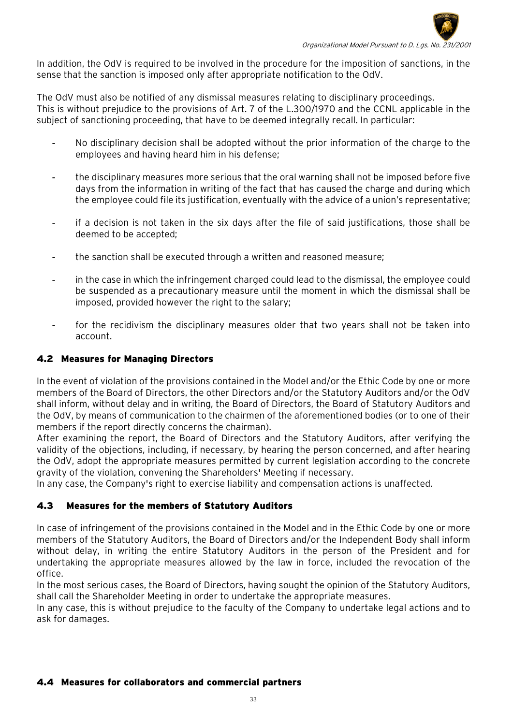

In addition, the OdV is required to be involved in the procedure for the imposition of sanctions, in the sense that the sanction is imposed only after appropriate notification to the OdV.

The OdV must also be notified of any dismissal measures relating to disciplinary proceedings. This is without prejudice to the provisions of Art. 7 of the L.300/1970 and the CCNL applicable in the subject of sanctioning proceeding, that have to be deemed integrally recall. In particular:

- No disciplinary decision shall be adopted without the prior information of the charge to the employees and having heard him in his defense;
- the disciplinary measures more serious that the oral warning shall not be imposed before five days from the information in writing of the fact that has caused the charge and during which the employee could file its justification, eventually with the advice of a union's representative;
- if a decision is not taken in the six days after the file of said justifications, those shall be deemed to be accepted;
- the sanction shall be executed through a written and reasoned measure;
- in the case in which the infringement charged could lead to the dismissal, the employee could be suspended as a precautionary measure until the moment in which the dismissal shall be imposed, provided however the right to the salary;
- for the recidivism the disciplinary measures older that two years shall not be taken into account.

## <span id="page-32-0"></span>4.2 Measures for Managing Directors

In the event of violation of the provisions contained in the Model and/or the Ethic Code by one or more members of the Board of Directors, the other Directors and/or the Statutory Auditors and/or the OdV shall inform, without delay and in writing, the Board of Directors, the Board of Statutory Auditors and the OdV, by means of communication to the chairmen of the aforementioned bodies (or to one of their members if the report directly concerns the chairman).

After examining the report, the Board of Directors and the Statutory Auditors, after verifying the validity of the objections, including, if necessary, by hearing the person concerned, and after hearing the OdV, adopt the appropriate measures permitted by current legislation according to the concrete gravity of the violation, convening the Shareholders' Meeting if necessary.

In any case, the Company's right to exercise liability and compensation actions is unaffected.

# <span id="page-32-1"></span>4.3Measures for the members of Statutory Auditors

In case of infringement of the provisions contained in the Model and in the Ethic Code by one or more members of the Statutory Auditors, the Board of Directors and/or the Independent Body shall inform without delay, in writing the entire Statutory Auditors in the person of the President and for undertaking the appropriate measures allowed by the law in force, included the revocation of the office.

In the most serious cases, the Board of Directors, having sought the opinion of the Statutory Auditors, shall call the Shareholder Meeting in order to undertake the appropriate measures.

In any case, this is without prejudice to the faculty of the Company to undertake legal actions and to ask for damages.

#### <span id="page-32-2"></span>4.4 Measures for collaborators and commercial partners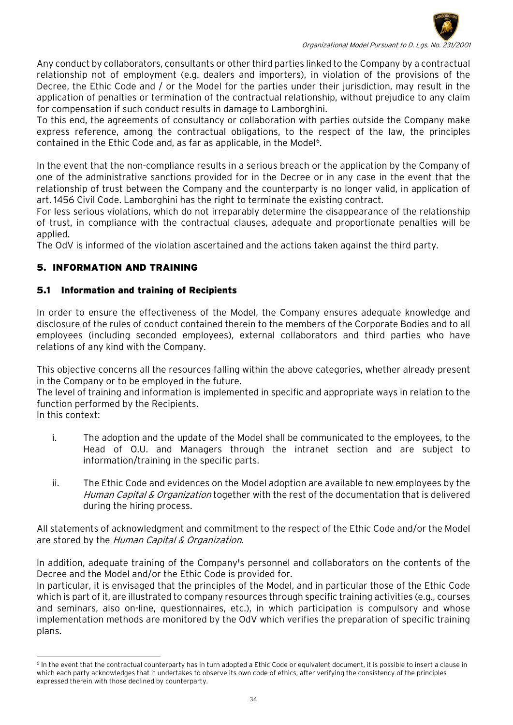

Any conduct by collaborators, consultants or other third parties linked to the Company by a contractual relationship not of employment (e.g. dealers and importers), in violation of the provisions of the Decree, the Ethic Code and / or the Model for the parties under their jurisdiction, may result in the application of penalties or termination of the contractual relationship, without prejudice to any claim for compensation if such conduct results in damage to Lamborghini.

To this end, the agreements of consultancy or collaboration with parties outside the Company make express reference, among the contractual obligations, to the respect of the law, the principles contained in the Ethic Code and, as far as applicable, in the Model<sup>6</sup>.

In the event that the non-compliance results in a serious breach or the application by the Company of one of the administrative sanctions provided for in the Decree or in any case in the event that the relationship of trust between the Company and the counterparty is no longer valid, in application of art. 1456 Civil Code. Lamborghini has the right to terminate the existing contract.

For less serious violations, which do not irreparably determine the disappearance of the relationship of trust, in compliance with the contractual clauses, adequate and proportionate penalties will be applied.

The OdV is informed of the violation ascertained and the actions taken against the third party.

# 5. INFORMATION AND TRAINING

## <span id="page-33-0"></span>5.1 Information and training of Recipients

In order to ensure the effectiveness of the Model, the Company ensures adequate knowledge and disclosure of the rules of conduct contained therein to the members of the Corporate Bodies and to all employees (including seconded employees), external collaborators and third parties who have relations of any kind with the Company.

This objective concerns all the resources falling within the above categories, whether already present in the Company or to be employed in the future.

The level of training and information is implemented in specific and appropriate ways in relation to the function performed by the Recipients.

In this context:

- i. The adoption and the update of the Model shall be communicated to the employees, to the Head of O.U. and Managers through the intranet section and are subject to information/training in the specific parts.
- ii. The Ethic Code and evidences on the Model adoption are available to new employees by the Human Capital & Organization together with the rest of the documentation that is delivered during the hiring process.

All statements of acknowledgment and commitment to the respect of the Ethic Code and/or the Model are stored by the Human Capital & Organization.

In addition, adequate training of the Company's personnel and collaborators on the contents of the Decree and the Model and/or the Ethic Code is provided for.

In particular, it is envisaged that the principles of the Model, and in particular those of the Ethic Code which is part of it, are illustrated to company resources through specific training activities (e.g., courses and seminars, also on-line, questionnaires, etc.), in which participation is compulsory and whose implementation methods are monitored by the OdV which verifies the preparation of specific training plans.

<span id="page-33-1"></span><sup>-</sup><sup>6</sup> In the event that the contractual counterparty has in turn adopted a Ethic Code or equivalent document, it is possible to insert a clause in which each party acknowledges that it undertakes to observe its own code of ethics, after verifying the consistency of the principles expressed therein with those declined by counterparty.